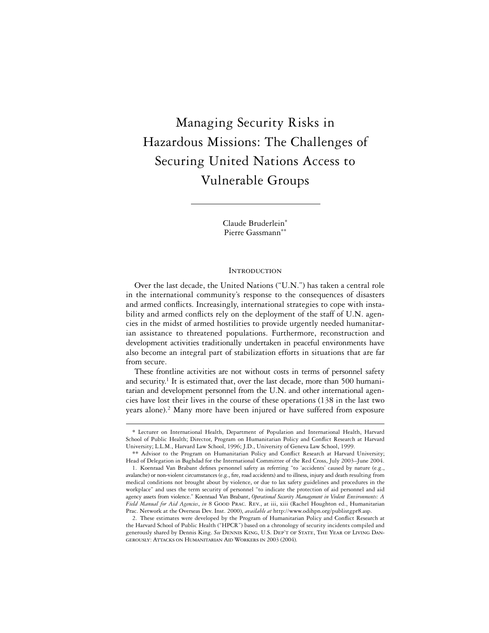# Managing Security Risks in Hazardous Missions: The Challenges of Securing United Nations Access to Vulnerable Groups

Claude Bruderlein\* Pierre Gassmann\*\*

#### **INTRODUCTION**

Over the last decade, the United Nations ("U.N.") has taken a central role in the international community's response to the consequences of disasters and armed conflicts. Increasingly, international strategies to cope with instability and armed conflicts rely on the deployment of the staff of U.N. agencies in the midst of armed hostilities to provide urgently needed humanitarian assistance to threatened populations. Furthermore, reconstruction and development activities traditionally undertaken in peaceful environments have also become an integral part of stabilization efforts in situations that are far from secure.

These frontline activities are not without costs in terms of personnel safety and security.<sup>1</sup> It is estimated that, over the last decade, more than 500 humanitarian and development personnel from the U.N. and other international agencies have lost their lives in the course of these operations (138 in the last two years alone).<sup>2</sup> Many more have been injured or have suffered from exposure

<sup>\*</sup> Lecturer on International Health, Department of Population and International Health, Harvard School of Public Health; Director, Program on Humanitarian Policy and Conflict Research at Harvard University; L.L.M., Harvard Law School, 1996; J.D., University of Geneva Law School, 1999.

<sup>\*\*</sup> Advisor to the Program on Humanitarian Policy and Conflict Research at Harvard University; Head of Delegation in Baghdad for the International Committee of the Red Cross, July 2003–June 2004.

<sup>1.</sup> Koenraad Van Brabant defines personnel safety as referring "to 'accidents' caused by nature (e.g., avalanche) or non-violent circumstances (e.g., fire, road accidents) and to illness, injury and death resulting from medical conditions not brought about by violence, or due to lax safety guidelines and procedures in the workplace" and uses the term security of personnel "to indicate the protection of aid personnel and aid agency assets from violence." Koenraad Van Brabant, *Operational Security Management in Violent Environments: A Field Manual for Aid Agencies*, *in* 8 Good Prac. Rev., at iii, xiii (Rachel Houghton ed., Humanitarian Prac. Network at the Overseas Dev. Inst. 2000), *available at* http://www.odihpn.org/publistgpr8.asp.

<sup>2.</sup> These estimates were developed by the Program of Humanitarian Policy and Conflict Research at the Harvard School of Public Health ("HPCR") based on a chronology of security incidents compiled and generously shared by Dennis King. *See* Dennis King, U.S. Dep't of State, The Year of Living Dangerously: Attacks on Humanitarian Aid Workers in 2003 (2004).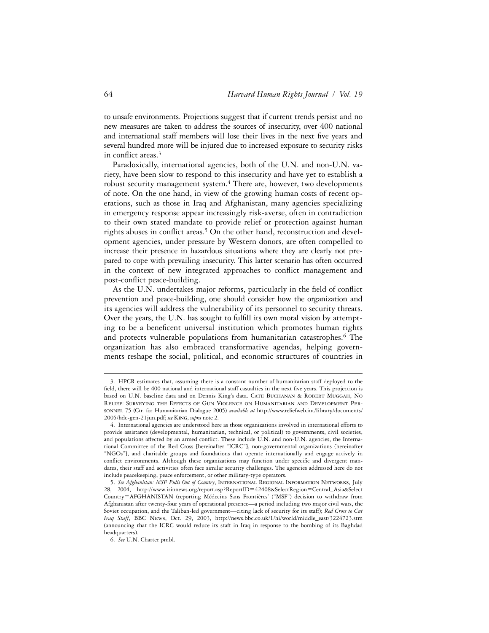to unsafe environments. Projections suggest that if current trends persist and no new measures are taken to address the sources of insecurity, over 400 national and international staff members will lose their lives in the next five years and several hundred more will be injured due to increased exposure to security risks in conflict areas.<sup>3</sup>

Paradoxically, international agencies, both of the U.N. and non-U.N. variety, have been slow to respond to this insecurity and have yet to establish a robust security management system.<sup>4</sup> There are, however, two developments of note. On the one hand, in view of the growing human costs of recent operations, such as those in Iraq and Afghanistan, many agencies specializing in emergency response appear increasingly risk-averse, often in contradiction to their own stated mandate to provide relief or protection against human rights abuses in conflict areas.<sup>5</sup> On the other hand, reconstruction and development agencies, under pressure by Western donors, are often compelled to increase their presence in hazardous situations where they are clearly not prepared to cope with prevailing insecurity. This latter scenario has often occurred in the context of new integrated approaches to conflict management and post-conflict peace-building.

As the U.N. undertakes major reforms, particularly in the field of conflict prevention and peace-building, one should consider how the organization and its agencies will address the vulnerability of its personnel to security threats. Over the years, the U.N. has sought to fulfill its own moral vision by attempting to be a beneficent universal institution which promotes human rights and protects vulnerable populations from humanitarian catastrophes.6 The organization has also embraced transformative agendas, helping governments reshape the social, political, and economic structures of countries in

<sup>3.</sup> HPCR estimates that, assuming there is a constant number of humanitarian staff deployed to the field, there will be 400 national and international staff casualties in the next five years. This projection is based on U.N. baseline data and on Dennis King's data. Cate Buchanan & Robert Muggah, No Relief: Surveying the Effects of Gun Violence on Humanitarian and Development Personnel 75 (Ctr. for Humanitarian Dialogue 2005) *available at* http://www.reliefweb.int/library/documents/ 2005/hdc-gen-21jun.pdf; *see* King, *supra* note 2.

<sup>4.</sup> International agencies are understood here as those organizations involved in international efforts to provide assistance (developmental, humanitarian, technical, or political) to governments, civil societies, and populations affected by an armed conflict. These include U.N. and non-U.N. agencies, the International Committee of the Red Cross [hereinafter "ICRC"], non-governmental organizations [hereinafter "NGOs"], and charitable groups and foundations that operate internationally and engage actively in conflict environments. Although these organizations may function under specific and divergent mandates, their staff and activities often face similar security challenges. The agencies addressed here do not include peacekeeping, peace enforcement, or other military-type operators.

<sup>5.</sup> *See Afghanistan: MSF Pulls Out of Country*, International Regional Information Networks, July 28, 2004, http://www.irinnews.org/report.asp?ReportID=42408&SelectRegion=Central\_Asia&Select Country=AFGHANISTAN (reporting Médecins Sans Frontières' ("MSF") decision to withdraw from Afghanistan after twenty-four years of operational presence—a period including two major civil wars, the Soviet occupation, and the Taliban-led government—citing lack of security for its staff); *Red Cross to Cut Iraq Staff*, BBC News, Oct. 29, 2003, http://news.bbc.co.uk/1/hi/world/middle\_east/3224723.stm (announcing that the ICRC would reduce its staff in Iraq in response to the bombing of its Baghdad headquarters).

<sup>6.</sup> *See* U.N. Charter pmbl.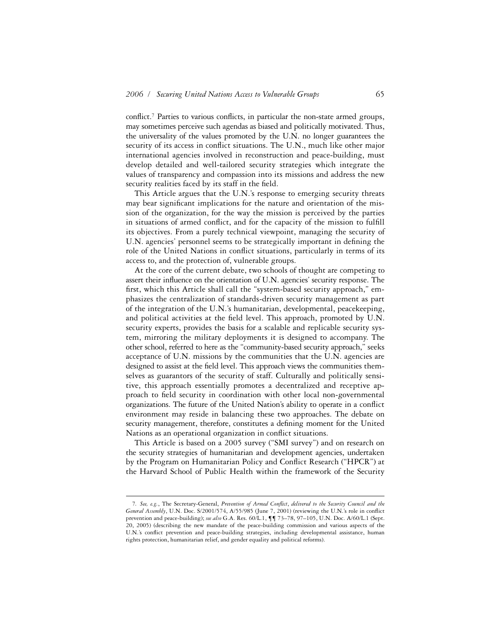conflict.<sup>7</sup> Parties to various conflicts, in particular the non-state armed groups, may sometimes perceive such agendas as biased and politically motivated. Thus, the universality of the values promoted by the U.N. no longer guarantees the security of its access in conflict situations. The U.N., much like other major international agencies involved in reconstruction and peace-building, must develop detailed and well-tailored security strategies which integrate the values of transparency and compassion into its missions and address the new security realities faced by its staff in the field.

This Article argues that the U.N.'s response to emerging security threats may bear significant implications for the nature and orientation of the mission of the organization, for the way the mission is perceived by the parties in situations of armed conflict, and for the capacity of the mission to fulfill its objectives. From a purely technical viewpoint, managing the security of U.N. agencies' personnel seems to be strategically important in defining the role of the United Nations in conflict situations, particularly in terms of its access to, and the protection of, vulnerable groups.

At the core of the current debate, two schools of thought are competing to assert their influence on the orientation of U.N. agencies' security response. The first, which this Article shall call the "system-based security approach," emphasizes the centralization of standards-driven security management as part of the integration of the U.N.'s humanitarian, developmental, peacekeeping, and political activities at the field level. This approach, promoted by U.N. security experts, provides the basis for a scalable and replicable security system, mirroring the military deployments it is designed to accompany. The other school, referred to here as the "community-based security approach," seeks acceptance of U.N. missions by the communities that the U.N. agencies are designed to assist at the field level. This approach views the communities themselves as guarantors of the security of staff. Culturally and politically sensitive, this approach essentially promotes a decentralized and receptive approach to field security in coordination with other local non-governmental organizations. The future of the United Nation's ability to operate in a conflict environment may reside in balancing these two approaches. The debate on security management, therefore, constitutes a defining moment for the United Nations as an operational organization in conflict situations.

This Article is based on a 2005 survey ("SMI survey") and on research on the security strategies of humanitarian and development agencies, undertaken by the Program on Humanitarian Policy and Conflict Research ("HPCR") at the Harvard School of Public Health within the framework of the Security

<sup>7.</sup> See, e.g., The Secretary-General, Prevention of Armed Conflict, delivered to the Security Council and the *General Assembly*, U.N. Doc. S/2001/574, A/55/985 (June 7, 2001) (reviewing the U.N.'s role in conflict prevention and peace-building); *see also* G.A. Res. 60/L.1, ¶¶ 73–78, 97–105, U.N. Doc. A/60/L.1 (Sept. 20, 2005) (describing the new mandate of the peace-building commission and various aspects of the U.N.'s conflict prevention and peace-building strategies, including developmental assistance, human rights protection, humanitarian relief, and gender equality and political reforms).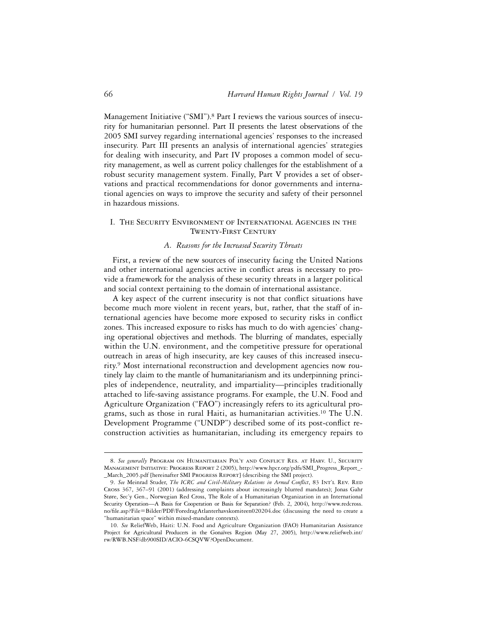Management Initiative ("SMI").<sup>8</sup> Part I reviews the various sources of insecurity for humanitarian personnel. Part II presents the latest observations of the 2005 SMI survey regarding international agencies' responses to the increased insecurity. Part III presents an analysis of international agencies' strategies for dealing with insecurity, and Part IV proposes a common model of security management, as well as current policy challenges for the establishment of a robust security management system. Finally, Part V provides a set of observations and practical recommendations for donor governments and international agencies on ways to improve the security and safety of their personnel in hazardous missions.

# I. The Security Environment of International Agencies in the Twenty-First Century

# *A. Reasons for the Increased Security Threats*

First, a review of the new sources of insecurity facing the United Nations and other international agencies active in conflict areas is necessary to provide a framework for the analysis of these security threats in a larger political and social context pertaining to the domain of international assistance.

A key aspect of the current insecurity is not that conflict situations have become much more violent in recent years, but, rather, that the staff of international agencies have become more exposed to security risks in conflict zones. This increased exposure to risks has much to do with agencies' changing operational objectives and methods. The blurring of mandates, especially within the U.N. environment, and the competitive pressure for operational outreach in areas of high insecurity, are key causes of this increased insecurity.9 Most international reconstruction and development agencies now routinely lay claim to the mantle of humanitarianism and its underpinning principles of independence, neutrality, and impartiality—principles traditionally attached to life-saving assistance programs. For example, the U.N. Food and Agriculture Organization ("FAO") increasingly refers to its agricultural programs, such as those in rural Haiti, as humanitarian activities.<sup>10</sup> The U.N. Development Programme ("UNDP") described some of its post-conflict reconstruction activities as humanitarian, including its emergency repairs to

<sup>8.</sup> See generally PROGRAM ON HUMANITARIAN POL'Y AND CONFLICT RES. AT HARV. U., SECURITY Management Initiative: Progress Report 2 (2005), http://www.hpcr.org/pdfs/SMI\_Progress\_Report\_- \_March\_2005.pdf [hereinafter SMI Progress Report] (describing the SMI project).

<sup>9.</sup> See Meinrad Studer, *The ICRC and Civil-Military Relations in Armed Conflict*, 83 INT'L REV. RED Cross 367, 367–91 (2001) (addressing complaints about increasingly blurred mandates); Jonas Gahr Støre, Sec'y Gen., Norwegian Red Cross, The Role of a Humanitarian Organization in an International Security Operation—A Basis for Cooperation or Basis for Separation? (Feb. 2, 2004), http://www.redcross. no/ªle.asp?File=Bilder/PDF/ForedragAtlanterhavskomiteen020204.doc (discussing the need to create a "humanitarian space" within mixed-mandate contexts).

<sup>10.</sup> *See* ReliefWeb, Haiti: U.N. Food and Agriculture Organization (FAO) Humanitarian Assistance Project for Agricultural Producers in the Gonaïves Region (May 27, 2005), http://www.reliefweb.int/ rw/RWB.NSF/db900SID/ACIO-6CSQVW?OpenDocument.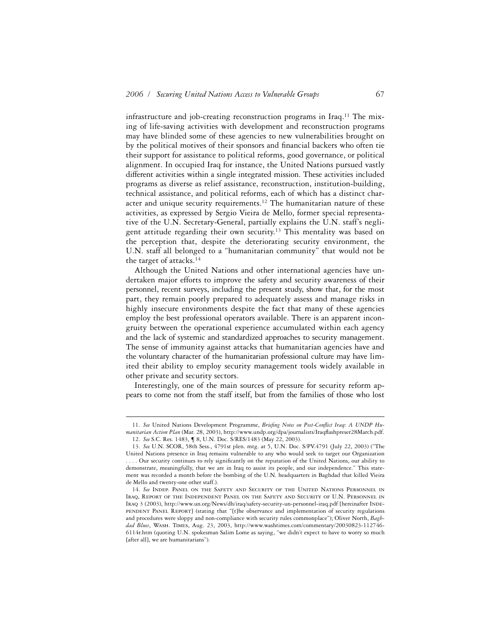infrastructure and job-creating reconstruction programs in Iraq.<sup>11</sup> The mixing of life-saving activities with development and reconstruction programs may have blinded some of these agencies to new vulnerabilities brought on by the political motives of their sponsors and financial backers who often tie their support for assistance to political reforms, good governance, or political alignment. In occupied Iraq for instance, the United Nations pursued vastly different activities within a single integrated mission. These activities included programs as diverse as relief assistance, reconstruction, institution-building, technical assistance, and political reforms, each of which has a distinct character and unique security requirements.<sup>12</sup> The humanitarian nature of these activities, as expressed by Sergio Vieira de Mello, former special representative of the U.N. Secretary-General, partially explains the U.N. staff's negligent attitude regarding their own security.13 This mentality was based on the perception that, despite the deteriorating security environment, the U.N. staff all belonged to a "humanitarian community" that would not be the target of attacks.14

Although the United Nations and other international agencies have undertaken major efforts to improve the safety and security awareness of their personnel, recent surveys, including the present study, show that, for the most part, they remain poorly prepared to adequately assess and manage risks in highly insecure environments despite the fact that many of these agencies employ the best professional operators available. There is an apparent incongruity between the operational experience accumulated within each agency and the lack of systemic and standardized approaches to security management. The sense of immunity against attacks that humanitarian agencies have and the voluntary character of the humanitarian professional culture may have limited their ability to employ security management tools widely available in other private and security sectors.

Interestingly, one of the main sources of pressure for security reform appears to come not from the staff itself, but from the families of those who lost

<sup>11.</sup> See United Nations Development Programme, Briefing Notes on Post-Conflict Iraq: A UNDP Humanitarian Action Plan (Mar. 28, 2003), http://www.undp.org/dpa/journalists/Iraqflashpreser28March.pdf. 12. *See* S.C. Res. 1483, ¶ 8, U.N. Doc. S/RES/1483 (May 22, 2003).

<sup>13.</sup> *See* U.N. SCOR, 58th Sess., 4791st plen. mtg. at 5, U.N. Doc. S/PV.4791 (July 22, 2003) ("The United Nations presence in Iraq remains vulnerable to any who would seek to target our Organization .... Our security continues to rely significantly on the reputation of the United Nations, our ability to demonstrate, meaningfully, that we are in Iraq to assist its people, and our independence." This statement was recorded a month before the bombing of the U.N. headquarters in Baghdad that killed Vieira de Mello and twenty-one other staff.).

<sup>14.</sup> *See* Indep. Panel on the Safety and Security of the United Nations Personnel in Iraq, Report of the Independent Panel on the Safety and Security of U.N. Personnel in Iraq 3 (2003), http://www.un.org/News/dh/iraq/safety-security-un-personnel-iraq.pdf [hereinafter Inde-PENDENT PANEL REPORT] (stating that "[t]he observance and implementation of security regulations and procedures were sloppy and non-compliance with security rules commonplace"); Oliver North, *Baghdad Blues*, Wash. Times, Aug. 23, 2003, http://www.washtimes.com/commentary/20030823-112746- 6114r.htm (quoting U.N. spokesman Salim Lome as saying, "we didn't expect to have to worry so much [after all], we are humanitarians").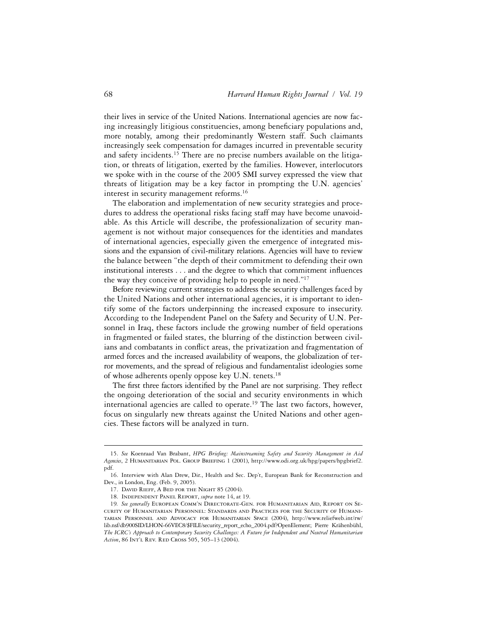their lives in service of the United Nations. International agencies are now facing increasingly litigious constituencies, among beneficiary populations and, more notably, among their predominantly Western staff. Such claimants increasingly seek compensation for damages incurred in preventable security and safety incidents.<sup>15</sup> There are no precise numbers available on the litigation, or threats of litigation, exerted by the families. However, interlocutors we spoke with in the course of the 2005 SMI survey expressed the view that threats of litigation may be a key factor in prompting the U.N. agencies' interest in security management reforms.<sup>16</sup>

The elaboration and implementation of new security strategies and procedures to address the operational risks facing staff may have become unavoidable. As this Article will describe, the professionalization of security management is not without major consequences for the identities and mandates of international agencies, especially given the emergence of integrated missions and the expansion of civil-military relations. Agencies will have to review the balance between "the depth of their commitment to defending their own institutional interests . . . and the degree to which that commitment influences the way they conceive of providing help to people in need."17

Before reviewing current strategies to address the security challenges faced by the United Nations and other international agencies, it is important to identify some of the factors underpinning the increased exposure to insecurity. According to the Independent Panel on the Safety and Security of U.N. Personnel in Iraq, these factors include the growing number of field operations in fragmented or failed states, the blurring of the distinction between civilians and combatants in conflict areas, the privatization and fragmentation of armed forces and the increased availability of weapons, the globalization of terror movements, and the spread of religious and fundamentalist ideologies some of whose adherents openly oppose key U.N. tenets.<sup>18</sup>

The first three factors identified by the Panel are not surprising. They reflect the ongoing deterioration of the social and security environments in which international agencies are called to operate.<sup>19</sup> The last two factors, however, focus on singularly new threats against the United Nations and other agencies. These factors will be analyzed in turn.

<sup>15.</sup> See Koenraad Van Brabant, *HPG Briefing: Mainstreaming Safety and Security Management in Aid* Agencies, 2 HUMANITARIAN POL. GROUP BRIEFING 1 (2001), http://www.odi.org.uk/hpg/papers/hpgbrief2. pdf.

<sup>16.</sup> Interview with Alan Drew, Dir., Health and Sec. Dep't, European Bank for Reconstruction and Dev., in London, Eng. (Feb. 9, 2005).

<sup>17.</sup> David Rieff, A Bed for the Night 85 (2004).

<sup>18.</sup> Independent Panel Report, *supra* note 14, at 19.

<sup>19</sup>*. See generally* European Comm'n Directorate-Gen. for Humanitarian Aid, Report on Security of Humanitarian Personnel: Standards and Practices for the Security of Humanitarian Personnel and Advocacy for Humanitarian Space (2004), http://www.reliefweb.int/rw/ lib.nsf/db900SID/LHON-66VEC8/\$FILE/security\_report\_echo\_2004.pdf?OpenElement; Pierre Krähenbühl, *The ICRC's Approach to Contemporary Security Challenges: A Future for Independent and Neutral Humanitarian Action*, 86 Int'l Rev. Red Cross 505, 505–13 (2004).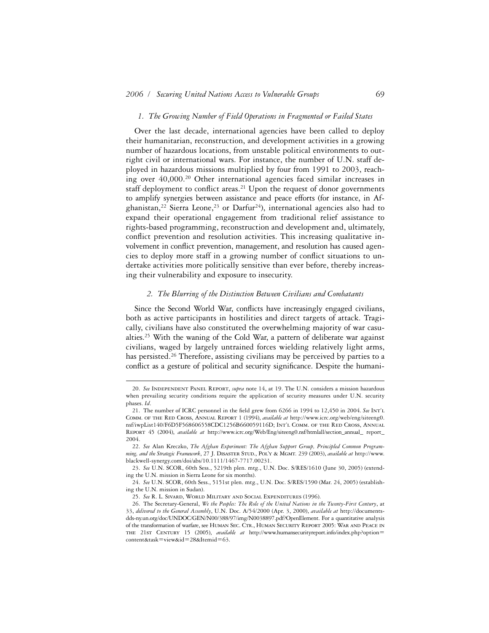#### *1. The Growing Number of Field Operations in Fragmented or Failed States*

Over the last decade, international agencies have been called to deploy their humanitarian, reconstruction, and development activities in a growing number of hazardous locations, from unstable political environments to outright civil or international wars. For instance, the number of U.N. staff deployed in hazardous missions multiplied by four from 1991 to 2003, reaching over 40,000.20 Other international agencies faced similar increases in staff deployment to conflict areas.<sup>21</sup> Upon the request of donor governments to amplify synergies between assistance and peace efforts (for instance, in Afghanistan,<sup>22</sup> Sierra Leone,<sup>23</sup> or Darfur<sup>24</sup>), international agencies also had to expand their operational engagement from traditional relief assistance to rights-based programming, reconstruction and development and, ultimately, conflict prevention and resolution activities. This increasing qualitative involvement in conflict prevention, management, and resolution has caused agencies to deploy more staff in a growing number of conflict situations to undertake activities more politically sensitive than ever before, thereby increasing their vulnerability and exposure to insecurity.

# *2. The Blurring of the Distinction Between Civilians and Combatants*

Since the Second World War, conflicts have increasingly engaged civilians, both as active participants in hostilities and direct targets of attack. Tragically, civilians have also constituted the overwhelming majority of war casualties.25 With the waning of the Cold War, a pattern of deliberate war against civilians, waged by largely untrained forces wielding relatively light arms, has persisted.<sup>26</sup> Therefore, assisting civilians may be perceived by parties to a conflict as a gesture of political and security significance. Despite the humani-

<sup>20.</sup> *See* Independent Panel Report, *supra* note 14, at 19. The U.N. considers a mission hazardous when prevailing security conditions require the application of security measures under U.N. security phases. *Id*.

<sup>21.</sup> The number of ICRC personnel in the field grew from 6266 in 1994 to 12,450 in 2004. See INT'L Comm. of the Red Cross, Annual Report 1 (1994), *available at* http://www.icrc.org/web/eng/siteeng0. nsf/iwpList140/F6D5F568606558CDC1256B660059116D; Int'l Comm. of the Red Cross, Annual Report 45 (2004), *available at* http://www.icrc.org/Web/Eng/siteeng0.nsf/htmlall/section\_annual\_ report\_ 2004.

<sup>22.</sup> *See* Alan Kreczko, *The Afghan Experiment: The Afghan Support Group, Principled Common Programming, and the Strategic Framework*, 27 J. Disaster Stud., Pol'y & Mgmt. 239 (2003), *available at* http://www. blackwell-synergy.com/doi/abs/10.1111/1467-7717.00231.

<sup>23.</sup> *See* U.N. SCOR, 60th Sess., 5219th plen. mtg., U.N. Doc. S/RES/1610 (June 30, 2005) (extending the U.N. mission in Sierra Leone for six months).

<sup>24.</sup> *See* U.N. SCOR, 60th Sess., 5151st plen. mtg., U.N. Doc. S/RES/1590 (Mar. 24, 2005) (establishing the U.N. mission in Sudan).

<sup>25.</sup> *See* R. L. Sivard, World Military and Social Expenditures (1996).

<sup>26.</sup> The Secretary-General, *We the Peoples: The Role of the United Nations in the Twenty-First Century*, at 33, *delivered to the General Assembly*, U.N. Doc. A/54/2000 (Apr. 3, 2000), *available at* http://documentsdds-ny.un.org/doc/UNDOC/GEN/N00/388/97/img/N0038897.pdf?OpenElement. For a quantitative analysis of the transformation of warfare, see Human Sec. Ctr., Human Security Report 2005: War and Peace in the 21st Century 15 (2005), *available at* http://www.humansecurityreport.info/index.php?option= content&task=view&id=28&Itemid=63.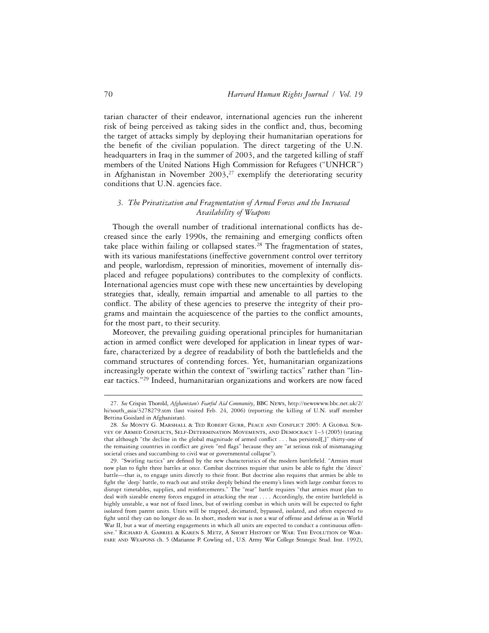tarian character of their endeavor, international agencies run the inherent risk of being perceived as taking sides in the conflict and, thus, becoming the target of attacks simply by deploying their humanitarian operations for the benefit of the civilian population. The direct targeting of the U.N. headquarters in Iraq in the summer of 2003, and the targeted killing of staff members of the United Nations High Commission for Refugees ("UNHCR") in Afghanistan in November  $2003$ ,<sup>27</sup> exemplify the deteriorating security conditions that U.N. agencies face.

# *3. The Privatization and Fragmentation of Armed Forces and the Increased Availability of Weapons*

Though the overall number of traditional international conflicts has decreased since the early 1990s, the remaining and emerging conflicts often take place within failing or collapsed states.<sup>28</sup> The fragmentation of states, with its various manifestations (ineffective government control over territory and people, warlordism, repression of minorities, movement of internally displaced and refugee populations) contributes to the complexity of conflicts. International agencies must cope with these new uncertainties by developing strategies that, ideally, remain impartial and amenable to all parties to the conflict. The ability of these agencies to preserve the integrity of their programs and maintain the acquiescence of the parties to the conflict amounts, for the most part, to their security.

Moreover, the prevailing guiding operational principles for humanitarian action in armed conflict were developed for application in linear types of warfare, characterized by a degree of readability of both the battlefields and the command structures of contending forces. Yet, humanitarian organizations increasingly operate within the context of "swirling tactics" rather than "linear tactics."29 Indeed, humanitarian organizations and workers are now faced

<sup>27.</sup> *See* Crispin Thorold, *Afghanistan's Fearful Aid Community*, BBC News, http://newswww.bbc.net.uk/2/ hi/south\_asia/3278279.stm (last visited Feb. 24, 2006) (reporting the killing of U.N. staff member Bettina Goislard in Afghanistan).

<sup>28.</sup> See MONTY G. MARSHALL & TED ROBERT GURR, PEACE AND CONFLICT 2005: A GLOBAL SURvey of ARMED CONFLICTS, SELF-DETERMINATION MOVEMENTS, AND DEMOCRACY 1-3 (2005) (stating that although "the decline in the global magnitude of armed conflict . . . has persisted[,]" thirty-one of the remaining countries in conflict are given "red flags" because they are "at serious risk of mismanaging societal crises and succumbing to civil war or governmental collapse").

<sup>29. &</sup>quot;Swirling tactics" are defined by the new characteristics of the modern battlefield. "Armies must now plan to fight three battles at once. Combat doctrines require that units be able to fight the 'direct' battle—that is, to engage units directly to their front. But doctrine also requires that armies be able to fight the 'deep' battle, to reach out and strike deeply behind the enemy's lines with large combat forces to disrupt timetables, supplies, and reinforcements." The "rear" battle requires "that armies must plan to deal with sizeable enemy forces engaged in attacking the rear . . . . Accordingly, the entire battlefield is highly unstable, a war not of fixed lines, but of swirling combat in which units will be expected to fight isolated from parent units. Units will be trapped, decimated, bypassed, isolated, and often expected to fight until they can no longer do so. In short, modern war is not a war of offense and defense as in World War II, but a war of meeting engagements in which all units are expected to conduct a continuous offensive." Richard A. Gabriel & Karen S. Metz, A Short History of War: The Evolution of Warfare and Weapons ch. 5 (Marianne P. Cowling ed., U.S. Army War College Strategic Stud. Inst. 1992),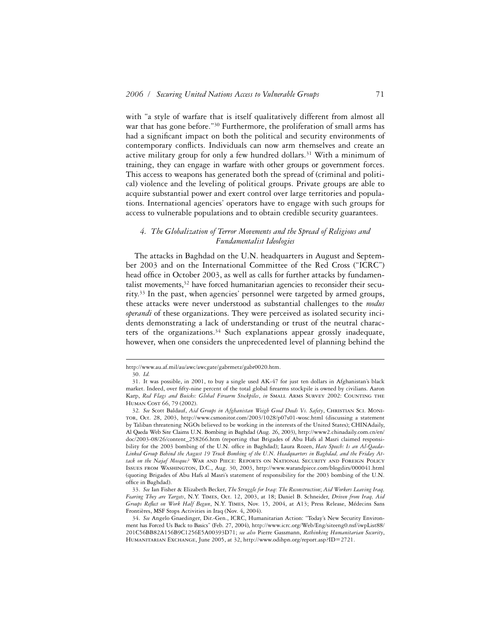with "a style of warfare that is itself qualitatively different from almost all war that has gone before."<sup>30</sup> Furthermore, the proliferation of small arms has had a significant impact on both the political and security environments of contemporary conflicts. Individuals can now arm themselves and create an active military group for only a few hundred dollars.<sup>31</sup> With a minimum of training, they can engage in warfare with other groups or government forces. This access to weapons has generated both the spread of (criminal and political) violence and the leveling of political groups. Private groups are able to acquire substantial power and exert control over large territories and populations. International agencies' operators have to engage with such groups for access to vulnerable populations and to obtain credible security guarantees.

# *4. The Globalization of Terror Movements and the Spread of Religious and Fundamentalist Ideologies*

The attacks in Baghdad on the U.N. headquarters in August and September 2003 and on the International Committee of the Red Cross ("ICRC") head office in October 2003, as well as calls for further attacks by fundamentalist movements, $3<sup>2</sup>$  have forced humanitarian agencies to reconsider their security.33 In the past, when agencies' personnel were targeted by armed groups, these attacks were never understood as substantial challenges to the *modus operandi* of these organizations. They were perceived as isolated security incidents demonstrating a lack of understanding or trust of the neutral characters of the organizations.<sup>34</sup> Such explanations appear grossly inadequate, however, when one considers the unprecedented level of planning behind the

http://www.au.af.mil/au/awc/awcgate/gabrmetz/gabr0020.htm.

<sup>30.</sup> *Id.*

<sup>31.</sup> It was possible, in 2001, to buy a single used AK-47 for just ten dollars in Afghanistan's black market. Indeed, over fifty-nine percent of the total global firearms stockpile is owned by civilians. Aaron Karp, *Red Flags and Buicks: Global Firearm Stockpiles*, *in* Small Arms Survey 2002: Counting the Human Cost 66, 79 (2002).

<sup>32</sup>*. See* Scott Baldauf, *Aid Groups in Afghanistan Weigh Good Deeds Vs. Safety*, Christian Sci. Monitor, Oct. 28, 2003, http://www.csmonitor.com/2003/1028/p07s01-wosc.html (discussing a statement by Taliban threatening NGOs believed to be working in the interests of the United States); CHINAdaily, Al Qaeda Web Site Claims U.N. Bombing in Baghdad (Aug. 26, 2003), http://www2.chinadaily.com.cn/en/ doc/2003-08/26/content\_258266.htm (reporting that Brigades of Abu Hafs al Masri claimed responsibility for the 2003 bombing of the U.N. office in Baghdad); Laura Rozen, *Hate Speech: Is an Al-Qaeda-Linked Group Behind the August 19 Truck Bombing of the U.N. Headquarters in Baghdad, and the Friday At*tack on the Najaf Mosque? WAR AND PIECE: REPORTS ON NATIONAL SECURITY AND FOREIGN POLICY Issues from Washington, D.C., Aug. 30, 2003, http://www.warandpiece.com/blogdirs/000041.html (quoting Brigades of Abu Hafs al Masri's statement of responsibility for the 2003 bombing of the U.N. office in Baghdad).

<sup>33.</sup> *See* Ian Fisher & Elizabeth Becker, *The Struggle for Iraq: The Reconstruction*; *Aid Workers Leaving Iraq, Fearing They are Targets*, N.Y. Times, Oct. 12, 2003, at 18; Daniel B. Schneider, *Driven from Iraq, Aid Groups Reºect on Work Half Begun*, N.Y. Times, Nov. 15, 2004, at A13; Press Release, Médecins Sans Frontières, MSF Stops Activities in Iraq (Nov. 4, 2004).

<sup>34.</sup> *See* Angelo Gnaedinger, Dir.-Gen., ICRC, Humanitarian Action: "Today's New Security Environment has Forced Us Back to Basics" (Feb. 27, 2004), http://www.icrc.org/Web/Eng/siteeng0.nsf/iwpList88/ 201C56BB82A156B9C1256E5A00393D71; *see also* Pierre Gassmann, *Rethinking Humanitarian Security*, Humanitarian Exchange, June 2005, at 32, http://www.odihpn.org/report.asp?ID=2721.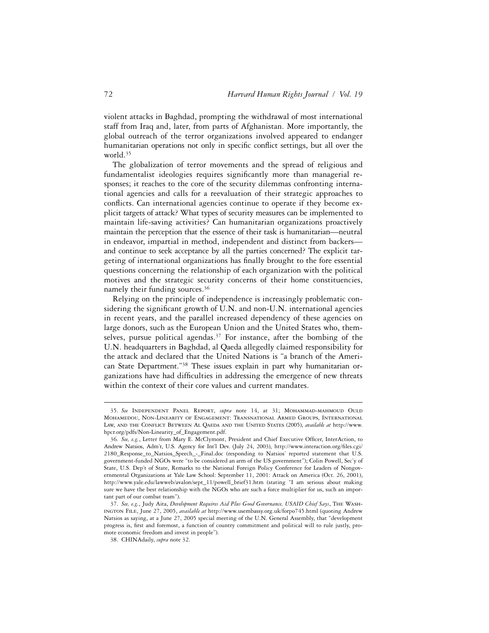violent attacks in Baghdad, prompting the withdrawal of most international staff from Iraq and, later, from parts of Afghanistan. More importantly, the global outreach of the terror organizations involved appeared to endanger humanitarian operations not only in specific conflict settings, but all over the world.35

The globalization of terror movements and the spread of religious and fundamentalist ideologies requires significantly more than managerial responses; it reaches to the core of the security dilemmas confronting international agencies and calls for a reevaluation of their strategic approaches to conflicts. Can international agencies continue to operate if they become explicit targets of attack? What types of security measures can be implemented to maintain life-saving activities? Can humanitarian organizations proactively maintain the perception that the essence of their task is humanitarian—neutral in endeavor, impartial in method, independent and distinct from backers and continue to seek acceptance by all the parties concerned? The explicit targeting of international organizations has finally brought to the fore essential questions concerning the relationship of each organization with the political motives and the strategic security concerns of their home constituencies, namely their funding sources.36

Relying on the principle of independence is increasingly problematic considering the significant growth of U.N. and non-U.N. international agencies in recent years, and the parallel increased dependency of these agencies on large donors, such as the European Union and the United States who, themselves, pursue political agendas.<sup>37</sup> For instance, after the bombing of the U.N. headquarters in Baghdad, al Qaeda allegedly claimed responsibility for the attack and declared that the United Nations is "a branch of the American State Department."38 These issues explain in part why humanitarian organizations have had difficulties in addressing the emergence of new threats within the context of their core values and current mandates.

<sup>35.</sup> *See* Independent Panel Report, *supra* note 14, at 31; Mohammad-mahmoud Ould Mohamedou, Non-Linearity of Engagement: Transnational Armed Groups, International LAW, AND THE CONFLICT BETWEEN AL OAEDA AND THE UNITED STATES (2005), *available at* http://www. hpcr.org/pdfs/Non-Linearity\_of\_Engagement.pdf.

<sup>36.</sup> See, e.g., Letter from Mary E. McClymont, President and Chief Executive Officer, InterAction, to Andrew Natsios, Adm'r, U.S. Agency for Int'l Dev. (July 24, 2003), http://www.interaction.org/files.cgi/ 2180\_Response\_to\_Natsios\_Speech\_-\_Final.doc (responding to Natsios' reported statement that U.S. government-funded NGOs were "to be considered an arm of the US government"); Colin Powell, Sec'y of State, U.S. Dep't of State, Remarks to the National Foreign Policy Conference for Leaders of Nongovernmental Organizations at Yale Law School: September 11, 2001: Attack on America (Oct. 26, 2001), http://www.yale.edu/lawweb/avalon/sept\_11/powell\_brief31.htm (stating "I am serious about making sure we have the best relationship with the NGOs who are such a force multiplier for us, such an important part of our combat team").

<sup>37.</sup> *See, e.g.*, Judy Aita, *Development Requires Aid Plus Good Governance, USAID Chief Says*, The Washington File, June 27, 2005, *available at* http://www.usembassy.org.uk/forpo745.html (quoting Andrew Natsios as saying, at a June 27, 2005 special meeting of the U.N. General Assembly, that "development progress is, first and foremost, a function of country commitment and political will to rule justly, promote economic freedom and invest in people").

<sup>38.</sup> CHINAdaily, *supra* note 32.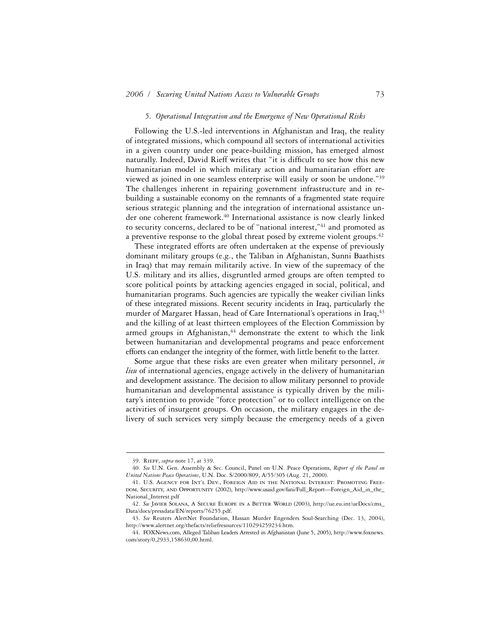#### *5. Operational Integration and the Emergence of New Operational Risks*

Following the U.S.-led interventions in Afghanistan and Iraq, the reality of integrated missions, which compound all sectors of international activities in a given country under one peace-building mission, has emerged almost naturally. Indeed, David Rieff writes that "it is difficult to see how this new humanitarian model in which military action and humanitarian effort are viewed as joined in one seamless enterprise will easily or soon be undone."39 The challenges inherent in repairing government infrastructure and in rebuilding a sustainable economy on the remnants of a fragmented state require serious strategic planning and the integration of international assistance under one coherent framework.40 International assistance is now clearly linked to security concerns, declared to be of "national interest,"41 and promoted as a preventive response to the global threat posed by extreme violent groups.<sup>42</sup>

These integrated efforts are often undertaken at the expense of previously dominant military groups (e.g., the Taliban in Afghanistan, Sunni Baathists in Iraq) that may remain militarily active. In view of the supremacy of the U.S. military and its allies, disgruntled armed groups are often tempted to score political points by attacking agencies engaged in social, political, and humanitarian programs. Such agencies are typically the weaker civilian links of these integrated missions. Recent security incidents in Iraq, particularly the murder of Margaret Hassan, head of Care International's operations in Iraq, <sup>43</sup> and the killing of at least thirteen employees of the Election Commission by armed groups in Afghanistan,<sup>44</sup> demonstrate the extent to which the link between humanitarian and developmental programs and peace enforcement efforts can endanger the integrity of the former, with little benefit to the latter.

Some argue that these risks are even greater when military personnel, *in lieu* of international agencies, engage actively in the delivery of humanitarian and development assistance. The decision to allow military personnel to provide humanitarian and developmental assistance is typically driven by the military's intention to provide "force protection" or to collect intelligence on the activities of insurgent groups. On occasion, the military engages in the delivery of such services very simply because the emergency needs of a given

<sup>39.</sup> Rieff, *supra* note 17, at 339.

<sup>40.</sup> *See* U.N. Gen. Assembly & Sec. Council, Panel on U.N. Peace Operations, *Report of the Panel on United Nations Peace Operations*, U.N. Doc. S/2000/809, A/55/305 (Aug. 21, 2000).

<sup>41.</sup> U.S. Agency for Int'l Dev., Foreign Aid in the National Interest: Promoting Freepom, SECURITY, AND OPPORTUNITY (2002), http://www.usaid.gov/fani/Full\_Report—Foreign\_Aid\_in\_the National\_Interest.pdf

<sup>42.</sup> See JAVIER SOLANA, A SECURE EUROPE IN A BETTER WORLD (2003), http://ue.eu.int/ueDocs/cms\_ Data/docs/pressdata/EN/reports/76255.pdf.

<sup>43.</sup> *See* Reuters AlertNet Foundation, Hassan Murder Engenders Soul-Searching (Dec. 13, 2004), http://www.alertnet.org/thefacts/reliefresources/110294259234.htm.

<sup>44.</sup> FOXNews.com, Alleged Taliban Leaders Arrested in Afghanistan (June 5, 2005), http://www.foxnews. com/story/0,2933,158630,00.html.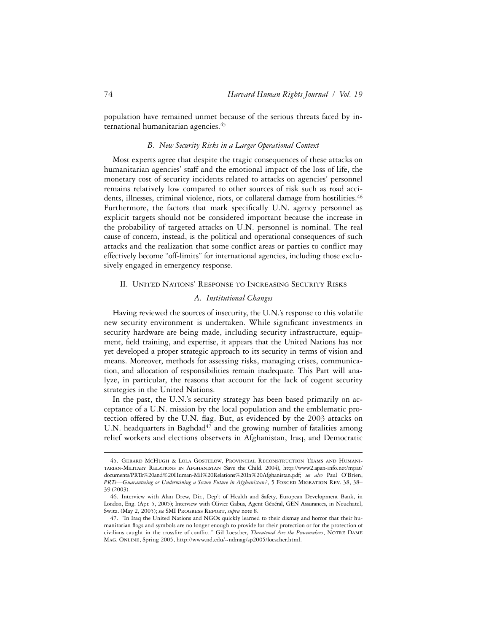population have remained unmet because of the serious threats faced by international humanitarian agencies.<sup>45</sup>

## *B. New Security Risks in a Larger Operational Context*

Most experts agree that despite the tragic consequences of these attacks on humanitarian agencies' staff and the emotional impact of the loss of life, the monetary cost of security incidents related to attacks on agencies' personnel remains relatively low compared to other sources of risk such as road accidents, illnesses, criminal violence, riots, or collateral damage from hostilities.<sup>46</sup> Furthermore, the factors that mark specifically U.N. agency personnel as explicit targets should not be considered important because the increase in the probability of targeted attacks on U.N. personnel is nominal. The real cause of concern, instead, is the political and operational consequences of such attacks and the realization that some conflict areas or parties to conflict may effectively become "off-limits" for international agencies, including those exclusively engaged in emergency response.

### II. United Nations' Response to Increasing Security Risks

# *A. Institutional Changes*

Having reviewed the sources of insecurity, the U.N.'s response to this volatile new security environment is undertaken. While significant investments in security hardware are being made, including security infrastructure, equipment, field training, and expertise, it appears that the United Nations has not yet developed a proper strategic approach to its security in terms of vision and means. Moreover, methods for assessing risks, managing crises, communication, and allocation of responsibilities remain inadequate. This Part will analyze, in particular, the reasons that account for the lack of cogent security strategies in the United Nations.

In the past, the U.N.'s security strategy has been based primarily on acceptance of a U.N. mission by the local population and the emblematic protection offered by the U.N. flag. But, as evidenced by the 2003 attacks on U.N. headquarters in Baghdad<sup>47</sup> and the growing number of fatalities among relief workers and elections observers in Afghanistan, Iraq, and Democratic

<sup>45.</sup> Gerard McHugh & Lola Gostelow, Provincial Reconstruction Teams and Humanitarian-Military Relations in Afghanistan (Save the Child. 2004), http://www2.apan-info.net/mpat/ documents/PRTs%20and%20Human-Mil%20Relations%20In%20Afghanistan.pdf; *see also* Paul O'Brien, PRTs-Guaranteeing or Undermining a Secure Future in Afghanistan?, 5 FORCED MIGRATION REV. 38, 38-39 (2003).

<sup>46.</sup> Interview with Alan Drew, Dir., Dep't of Health and Safety, European Development Bank, in London, Eng. (Apr. 5, 2005); Interview with Olivier Gabus, Agent Général, GEN Assurances, in Neuchatel, Switz. (May 2, 2005); *see* SMI Progress Report, *supra* note 8.

<sup>47. &</sup>quot;In Iraq the United Nations and NGOs quickly learned to their dismay and horror that their humanitarian flags and symbols are no longer enough to provide for their protection or for the protection of civilians caught in the crossfire of conflict." Gil Loescher, *Threatened Are the Peacemakers*, NOTRE DAME Mag. Online, Spring 2005, http://www.nd.edu/~ndmag/sp2005/loescher.html.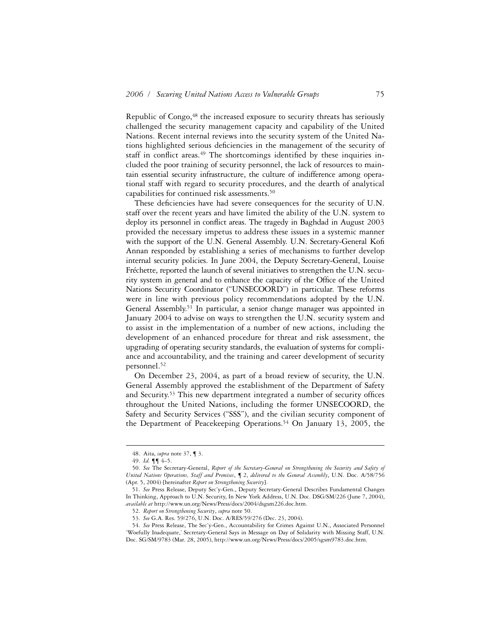Republic of Congo,<sup>48</sup> the increased exposure to security threats has seriously challenged the security management capacity and capability of the United Nations. Recent internal reviews into the security system of the United Nations highlighted serious deficiencies in the management of the security of staff in conflict areas.<sup>49</sup> The shortcomings identified by these inquiries included the poor training of security personnel, the lack of resources to maintain essential security infrastructure, the culture of indifference among operational staff with regard to security procedures, and the dearth of analytical capabilities for continued risk assessments.50

These deficiencies have had severe consequences for the security of U.N. staff over the recent years and have limited the ability of the U.N. system to deploy its personnel in conflict areas. The tragedy in Baghdad in August 2003 provided the necessary impetus to address these issues in a systemic manner with the support of the U.N. General Assembly. U.N. Secretary-General Kofi Annan responded by establishing a series of mechanisms to further develop internal security policies. In June 2004, the Deputy Secretary-General, Louise Fréchette, reported the launch of several initiatives to strengthen the U.N. security system in general and to enhance the capacity of the Office of the United Nations Security Coordinator ("UNSECOORD") in particular. These reforms were in line with previous policy recommendations adopted by the U.N. General Assembly.51 In particular, a senior change manager was appointed in January 2004 to advise on ways to strengthen the U.N. security system and to assist in the implementation of a number of new actions, including the development of an enhanced procedure for threat and risk assessment, the upgrading of operating security standards, the evaluation of systems for compliance and accountability, and the training and career development of security personnel.52

On December 23, 2004, as part of a broad review of security, the U.N. General Assembly approved the establishment of the Department of Safety and Security.<sup>53</sup> This new department integrated a number of security offices throughout the United Nations, including the former UNSECOORD, the Safety and Security Services ("SSS"), and the civilian security component of the Department of Peacekeeping Operations.<sup>54</sup> On January 13, 2005, the

<sup>48.</sup> Aita, *supra* note 37, ¶ 3.

<sup>49.</sup> *Id.* ¶¶ 4–5.

<sup>50.</sup> *See* The Secretary-General, *Report of the Secretary-General on Strengthening the Security and Safety of United Nations Operations, Staff and Premises*, ¶ 2, *delivered to the General Assembly*, U.N. Doc. A/58/756 (Apr. 5, 2004) [hereinafter *Report on Strengthening Security*].

<sup>51.</sup> *See* Press Release, Deputy Sec'y-Gen., Deputy Secretary-General Describes Fundamental Changes In Thinking, Approach to U.N. Security, In New York Address, U.N. Doc. DSG/SM/226 (June 7, 2004), *available at* http://www.un.org/News/Press/docs/2004/dsgsm226.doc.htm.

<sup>52.</sup> *Report on Strengthening Security*, *supra* note 50.

<sup>53.</sup> *See* G.A. Res. 59/276, U.N. Doc. A/RES/59/276 (Dec. 23, 2004).

<sup>54.</sup> *See* Press Release, The Sec'y-Gen., Accountability for Crimes Against U.N., Associated Personnel 'Woefully Inadequate,' Secretary-General Says in Message on Day of Solidarity with Missing Staff, U.N. Doc. SG/SM/9783 (Mar. 28, 2005), http://www.un.org/News/Press/docs/2005/sgsm9783.doc.htm.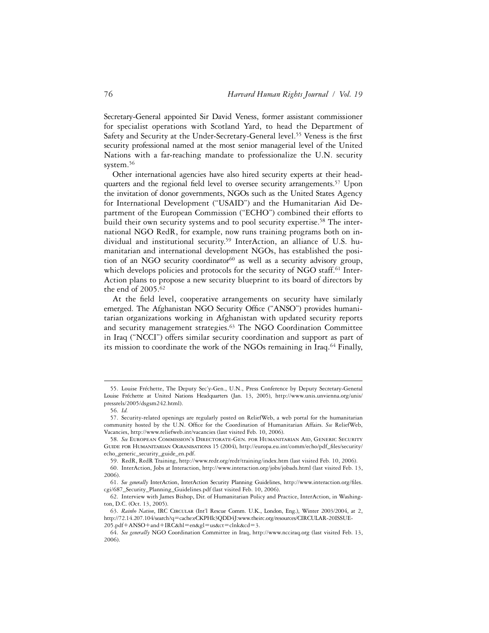Secretary-General appointed Sir David Veness, former assistant commissioner for specialist operations with Scotland Yard, to head the Department of Safety and Security at the Under-Secretary-General level.<sup>55</sup> Veness is the first security professional named at the most senior managerial level of the United Nations with a far-reaching mandate to professionalize the U.N. security system.<sup>56</sup>

Other international agencies have also hired security experts at their headquarters and the regional field level to oversee security arrangements.<sup>57</sup> Upon the invitation of donor governments, NGOs such as the United States Agency for International Development ("USAID") and the Humanitarian Aid Department of the European Commission ("ECHO") combined their efforts to build their own security systems and to pool security expertise.<sup>58</sup> The international NGO RedR, for example, now runs training programs both on individual and institutional security.59 InterAction, an alliance of U.S. humanitarian and international development NGOs, has established the position of an NGO security coordinator<sup>60</sup> as well as a security advisory group, which develops policies and protocols for the security of NGO staff.<sup>61</sup> Inter-Action plans to propose a new security blueprint to its board of directors by the end of 2005.62

At the field level, cooperative arrangements on security have similarly emerged. The Afghanistan NGO Security Office ("ANSO") provides humanitarian organizations working in Afghanistan with updated security reports and security management strategies.<sup>63</sup> The NGO Coordination Committee in Iraq ("NCCI") offers similar security coordination and support as part of its mission to coordinate the work of the NGOs remaining in Iraq.<sup>64</sup> Finally,

<sup>55.</sup> Louise Fréchette, The Deputy Sec'y-Gen., U.N., Press Conference by Deputy Secretary-General Louise Fréchette at United Nations Headquarters (Jan. 13, 2005), http://www.unis.unvienna.org/unis/ pressrels/2005/dsgsm242.html).

<sup>56.</sup> *Id.*

<sup>57.</sup> Security-related openings are regularly posted on ReliefWeb, a web portal for the humanitarian community hosted by the U.N. Office for the Coordination of Humanitarian Affairs. See ReliefWeb, Vacancies, http://www.reliefweb.int/vacancies (last visited Feb. 10, 2006).

<sup>58.</sup> *See* European Commission's Directorate-Gen. for Humanitarian Aid, Generic Security GUIDE FOR HUMANITARIAN OGRANISATIONS 15 (2004), http://europa.eu.int/comm/echo/pdf\_files/security/ echo\_generic\_security\_guide\_en.pdf.

<sup>59.</sup> RedR, RedR Training, http://www.redr.org/redr/training/index.htm (last visited Feb. 10, 2006).

<sup>60.</sup> InterAction, Jobs at Interaction, http://www.interaction.org/jobs/jobads.html (last visited Feb. 13, 2006).

<sup>61.</sup> See generally InterAction, InterAction Security Planning Guidelines, http://www.interaction.org/files. cgi/687\_Security\_Planning\_Guidelines.pdf (last visited Feb. 10, 2006).

<sup>62.</sup> Interview with James Bishop, Dir. of Humanitarian Policy and Practice, InterAction, in Washington, D.C. (Oct. 13, 2005).

<sup>63.</sup> *Rainbo Nation*, IRC Circular (Int'l Rescue Comm. U.K., London, Eng.), Winter 2003/2004, at 2, http://72.14.207.104/search?q=cache:eCKPHk3QDD4J:www.theirc.org/resources/CIRCULAR-20ISSUE-205.pdf+ANSO+and+IRC&hl=en&gl=us&ct=clnk&cd=3.

<sup>64.</sup> *See generally* NGO Coordination Committee in Iraq, http://www.ncciraq.org (last visited Feb. 13, 2006).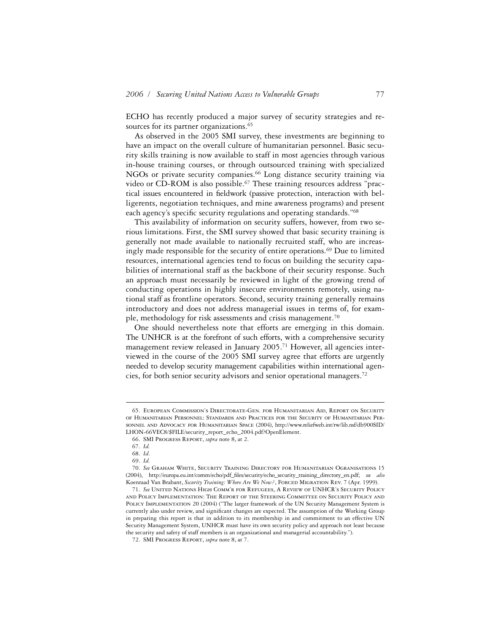ECHO has recently produced a major survey of security strategies and resources for its partner organizations.<sup>65</sup>

As observed in the 2005 SMI survey, these investments are beginning to have an impact on the overall culture of humanitarian personnel. Basic security skills training is now available to staff in most agencies through various in-house training courses, or through outsourced training with specialized NGOs or private security companies.<sup>66</sup> Long distance security training via video or CD-ROM is also possible.<sup>67</sup> These training resources address "practical issues encountered in fieldwork (passive protection, interaction with belligerents, negotiation techniques, and mine awareness programs) and present each agency's specific security regulations and operating standards."<sup>68</sup>

This availability of information on security suffers, however, from two serious limitations. First, the SMI survey showed that basic security training is generally not made available to nationally recruited staff, who are increasingly made responsible for the security of entire operations.<sup>69</sup> Due to limited resources, international agencies tend to focus on building the security capabilities of international staff as the backbone of their security response. Such an approach must necessarily be reviewed in light of the growing trend of conducting operations in highly insecure environments remotely, using national staff as frontline operators. Second, security training generally remains introductory and does not address managerial issues in terms of, for example, methodology for risk assessments and crisis management.70

One should nevertheless note that efforts are emerging in this domain. The UNHCR is at the forefront of such efforts, with a comprehensive security management review released in January 2005.<sup>71</sup> However, all agencies interviewed in the course of the 2005 SMI survey agree that efforts are urgently needed to develop security management capabilities within international agencies, for both senior security advisors and senior operational managers.72

<sup>65.</sup> European Commission's Directorate-Gen. for Humanitarian Aid, Report on Security of Humanitarian Personnel: Standards and Practices for the Security of Humanitarian Personnel and Advocacy for Humanitarian Space (2004), http://www.reliefweb.int/rw/lib.nsf/db900SID/ LHON-66VEC8/\$FILE/security\_report\_echo\_2004.pdf?OpenElement.

<sup>66.</sup> SMI Progress Report, *supra* note 8, at 2.

<sup>67.</sup> *Id.*

<sup>68.</sup> *Id*.

<sup>69.</sup> *Id.*

<sup>70.</sup> *See* Graham White, Security Training Directory for Humanitarian Ogranisations 15 (2004), http://europa.eu.int/comm/echo/pdf\_ªles/security/echo\_security\_training\_directory\_en.pdf; *see also* Koenraad Van Brabant, *Security Training: Where Are We Now?*, FORCED MIGRATION REV. 7 (Apr. 1999).

<sup>71.</sup> *See* United Nations High Comm'r for Refugees, A Review of UNHCR's Security Policy and Policy Implementation: The Report of the Steering Committee on Security Policy and POLICY IMPLEMENTATION 20 (2004) ("The larger framework of the UN Security Management System is currently also under review, and significant changes are expected. The assumption of the Working Group in preparing this report is that in addition to its membership in and commitment to an effective UN Security Management System, UNHCR must have its own security policy and approach not least because the security and safety of staff members is an organizational and managerial accountability.").

<sup>72.</sup> SMI Progress Report, *supra* note 8, at 7.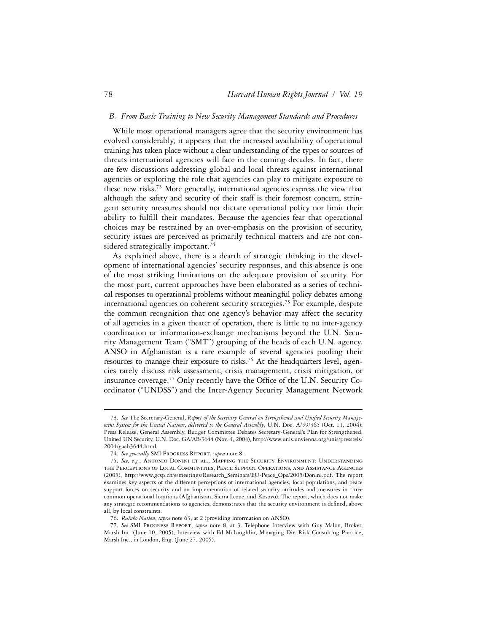## *B. From Basic Training to New Security Management Standards and Procedures*

While most operational managers agree that the security environment has evolved considerably, it appears that the increased availability of operational training has taken place without a clear understanding of the types or sources of threats international agencies will face in the coming decades. In fact, there are few discussions addressing global and local threats against international agencies or exploring the role that agencies can play to mitigate exposure to these new risks.73 More generally, international agencies express the view that although the safety and security of their staff is their foremost concern, stringent security measures should not dictate operational policy nor limit their ability to fulfill their mandates. Because the agencies fear that operational choices may be restrained by an over-emphasis on the provision of security, security issues are perceived as primarily technical matters and are not considered strategically important.<sup>74</sup>

As explained above, there is a dearth of strategic thinking in the development of international agencies' security responses, and this absence is one of the most striking limitations on the adequate provision of security. For the most part, current approaches have been elaborated as a series of technical responses to operational problems without meaningful policy debates among international agencies on coherent security strategies.75 For example, despite the common recognition that one agency's behavior may affect the security of all agencies in a given theater of operation, there is little to no inter-agency coordination or information-exchange mechanisms beyond the U.N. Security Management Team ("SMT") grouping of the heads of each U.N. agency. ANSO in Afghanistan is a rare example of several agencies pooling their resources to manage their exposure to risks.<sup>76</sup> At the headquarters level, agencies rarely discuss risk assessment, crisis management, crisis mitigation, or insurance coverage.<sup>77</sup> Only recently have the Office of the U.N. Security Coordinator ("UNDSS") and the Inter-Agency Security Management Network

<sup>73.</sup> See The Secretary-General, Report of the Secretary General on Strengthened and Unified Security Manage*ment System for the United Nations*, *delivered to the General Assembly*, U.N. Doc. A/59/365 (Oct. 11, 2004); Press Release, General Assembly, Budget Committee Debates Secretary-General's Plan for Strengthened, Unified UN Security, U.N. Doc. GA/AB/3644 (Nov. 4, 2004), http://www.unis.unvienna.org/unis/pressrels/ 2004/gaab3644.html.

<sup>74.</sup> *See generally* SMI Progress Report, *supra* note 8.

<sup>75.</sup> *See, e.g.*, Antonio Donini et al., Mapping the Security Environment: Understanding the Perceptions of Local Communities, Peace Support Operations, and Assistance Agencies (2005), http://www.gcsp.ch/e/meetings/Research\_Seminars/EU-Peace\_Ops/2005/Donini.pdf. The report examines key aspects of the different perceptions of international agencies, local populations, and peace support forces on security and on implementation of related security attitudes and measures in three common operational locations (Afghanistan, Sierra Leone, and Kosovo). The report, which does not make any strategic recommendations to agencies, demonstrates that the security environment is defined, above all, by local constraints.

<sup>76.</sup> *Rainbo Nation*, *supra* note 63, at 2 (providing information on ANSO).

<sup>77.</sup> *See* SMI Progress Report, *supra* note 8, at 3. Telephone Interview with Guy Malon, Broker, Marsh Inc. (June 10, 2005); Interview with Ed McLaughlin, Managing Dir. Risk Consulting Practice, Marsh Inc., in London, Eng. (June 27, 2005).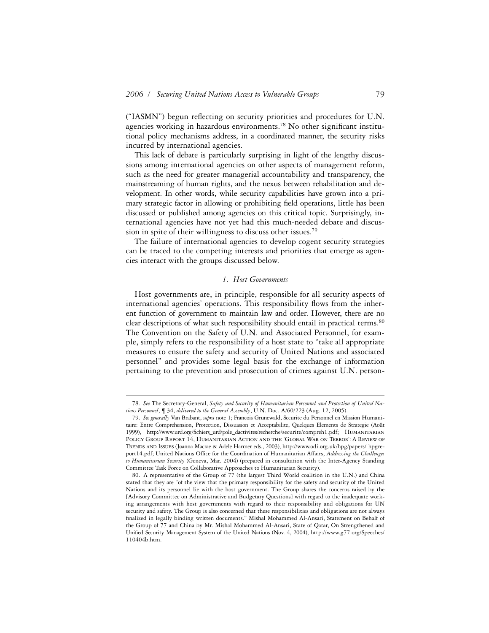("IASMN") begun reflecting on security priorities and procedures for U.N. agencies working in hazardous environments.<sup>78</sup> No other significant institutional policy mechanisms address, in a coordinated manner, the security risks incurred by international agencies.

This lack of debate is particularly surprising in light of the lengthy discussions among international agencies on other aspects of management reform, such as the need for greater managerial accountability and transparency, the mainstreaming of human rights, and the nexus between rehabilitation and development. In other words, while security capabilities have grown into a primary strategic factor in allowing or prohibiting field operations, little has been discussed or published among agencies on this critical topic. Surprisingly, international agencies have not yet had this much-needed debate and discussion in spite of their willingness to discuss other issues.<sup>79</sup>

The failure of international agencies to develop cogent security strategies can be traced to the competing interests and priorities that emerge as agencies interact with the groups discussed below.

#### *1. Host Governments*

Host governments are, in principle, responsible for all security aspects of international agencies' operations. This responsibility flows from the inherent function of government to maintain law and order. However, there are no clear descriptions of what such responsibility should entail in practical terms.80 The Convention on the Safety of U.N. and Associated Personnel, for example, simply refers to the responsibility of a host state to "take all appropriate measures to ensure the safety and security of United Nations and associated personnel" and provides some legal basis for the exchange of information pertaining to the prevention and prosecution of crimes against U.N. person-

<sup>78.</sup> *See* The Secretary-General, *Safety and Security of Humanitarian Personnel and Protection of United Nations Personnel*, ¶ 34, *delivered to the General Assembly*, U.N. Doc. A/60/223 (Aug. 12, 2005).

<sup>79.</sup> *See generally* Van Brabant, *supra* note 1; Francois Grunewald, Securite du Personnel en Mission Humanitaire: Entre Comprehension, Protection, Dissuasion et Acceptabilite, Quelques Elements de Strategie (Août 1999), http://www.urd.org/ªchiers\_urd/pole\_dactivites/recherche/securite/compreh1.pdf; Humanitarian Policy Group Report 14, Humanitarian Action and the 'Global War on Terror': A Review of Trends and Issues (Joanna Macrae & Adele Harmer eds., 2003), http://www.odi.org.uk/hpg/papers/ hpgreport14.pdf; United Nations Office for the Coordination of Humanitarian Affairs, *Addressing the Challenges to Humanitarian Security* (Geneva, Mar. 2004) (prepared in consultation with the Inter-Agency Standing Committee Task Force on Collaborative Approaches to Humanitarian Security).

<sup>80.</sup> A representative of the Group of 77 (the largest Third World coalition in the U.N.) and China stated that they are "of the view that the primary responsibility for the safety and security of the United Nations and its personnel lie with the host government. The Group shares the concerns raised by the [Advisory Committee on Administrative and Budgetary Questions] with regard to the inadequate working arrangements with host governments with regard to their responsibility and obligations for UN security and safety. The Group is also concerned that these responsibilities and obligations are not always finalized in legally binding written documents." Mishal Mohammed Al-Ansari, Statement on Behalf of the Group of 77 and China by Mr. Mishal Mohammed Al-Ansari, State of Qatar, On Strengthened and Unified Security Management System of the United Nations (Nov. 4, 2004), http://www.g77.org/Speeches/ 110404b.htm.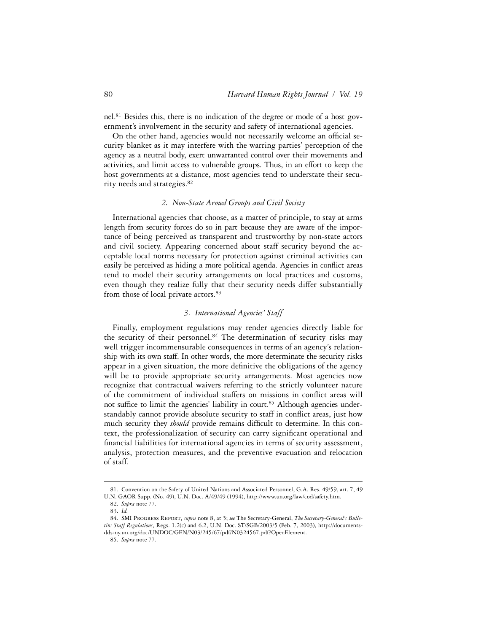nel.81 Besides this, there is no indication of the degree or mode of a host government's involvement in the security and safety of international agencies.

On the other hand, agencies would not necessarily welcome an official security blanket as it may interfere with the warring parties' perception of the agency as a neutral body, exert unwarranted control over their movements and activities, and limit access to vulnerable groups. Thus, in an effort to keep the host governments at a distance, most agencies tend to understate their security needs and strategies.82

# *2. Non-State Armed Groups and Civil Society*

International agencies that choose, as a matter of principle, to stay at arms length from security forces do so in part because they are aware of the importance of being perceived as transparent and trustworthy by non-state actors and civil society. Appearing concerned about staff security beyond the acceptable local norms necessary for protection against criminal activities can easily be perceived as hiding a more political agenda. Agencies in conflict areas tend to model their security arrangements on local practices and customs, even though they realize fully that their security needs differ substantially from those of local private actors.<sup>83</sup>

# *3. International Agencies' Staff*

Finally, employment regulations may render agencies directly liable for the security of their personnel.<sup>84</sup> The determination of security risks may well trigger incommensurable consequences in terms of an agency's relationship with its own staff. In other words, the more determinate the security risks appear in a given situation, the more definitive the obligations of the agency will be to provide appropriate security arrangements. Most agencies now recognize that contractual waivers referring to the strictly volunteer nature of the commitment of individual staffers on missions in conflict areas will not suffice to limit the agencies' liability in court.<sup>85</sup> Although agencies understandably cannot provide absolute security to staff in conflict areas, just how much security they *should* provide remains difficult to determine. In this context, the professionalization of security can carry significant operational and financial liabilities for international agencies in terms of security assessment, analysis, protection measures, and the preventive evacuation and relocation of staff.

<sup>81.</sup> Convention on the Safety of United Nations and Associated Personnel, G.A. Res. 49/59, art. 7, 49 U.N. GAOR Supp. (No. 49), U.N. Doc. A/49/49 (1994), http://www.un.org/law/cod/safety.htm.

<sup>82.</sup> *Supra* note 77.

<sup>83.</sup> *Id.*

<sup>84.</sup> SMI Progress Report, *supra* note 8, at 5; *see* The Secretary-General, *The Secretary-General's Bulletin: Staff Regulations*, Regs. 1.2(c) and 6.2, U.N. Doc. ST/SGB/2003/5 (Feb. 7, 2003), http://documentsdds-ny.un.org/doc/UNDOC/GEN/N03/245/67/pdf/N0324567.pdf?OpenElement.

<sup>85.</sup> *Supra* note 77.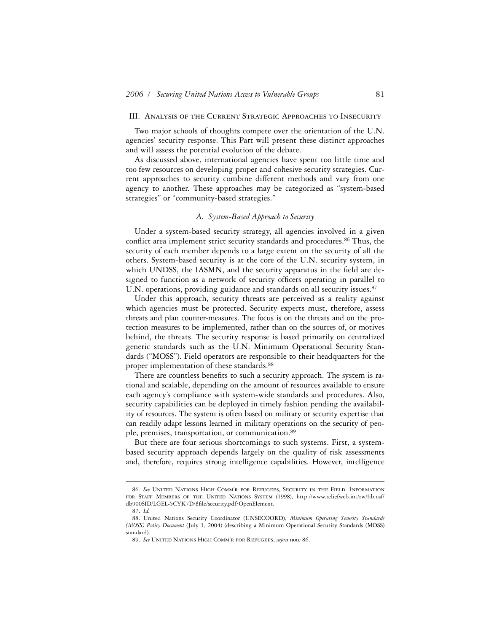## III. Analysis of the Current Strategic Approaches to Insecurity

Two major schools of thoughts compete over the orientation of the U.N. agencies' security response. This Part will present these distinct approaches and will assess the potential evolution of the debate.

As discussed above, international agencies have spent too little time and too few resources on developing proper and cohesive security strategies. Current approaches to security combine different methods and vary from one agency to another. These approaches may be categorized as "system-based strategies" or "community-based strategies."

## *A. System-Based Approach to Security*

Under a system-based security strategy, all agencies involved in a given conflict area implement strict security standards and procedures.<sup>86</sup> Thus, the security of each member depends to a large extent on the security of all the others. System-based security is at the core of the U.N. security system, in which UNDSS, the IASMN, and the security apparatus in the field are designed to function as a network of security officers operating in parallel to U.N. operations, providing guidance and standards on all security issues.<sup>87</sup>

Under this approach, security threats are perceived as a reality against which agencies must be protected. Security experts must, therefore, assess threats and plan counter-measures. The focus is on the threats and on the protection measures to be implemented, rather than on the sources of, or motives behind, the threats. The security response is based primarily on centralized generic standards such as the U.N. Minimum Operational Security Standards ("MOSS"). Field operators are responsible to their headquarters for the proper implementation of these standards.<sup>88</sup>

There are countless benefits to such a security approach. The system is rational and scalable, depending on the amount of resources available to ensure each agency's compliance with system-wide standards and procedures. Also, security capabilities can be deployed in timely fashion pending the availability of resources. The system is often based on military or security expertise that can readily adapt lessons learned in military operations on the security of people, premises, transportation, or communication.89

But there are four serious shortcomings to such systems. First, a systembased security approach depends largely on the quality of risk assessments and, therefore, requires strong intelligence capabilities. However, intelligence

<sup>86.</sup> *See* United Nations High Comm'r for Refugees, Security in the Field: Information FOR STAFF MEMBERS OF THE UNITED NATIONS SYSTEM (1998), http://www.reliefweb.int/rw/lib.nsf/ db900SID/LGEL-5CYK7D/\$file/security.pdf?OpenElement.

<sup>87.</sup> *Id.*

<sup>88.</sup> United Nations Security Coordinator (UNSECOORD), *Minimum Operating Security Standards (MOSS) Policy Document* (July 1, 2004) (describing a Minimum Operational Security Standards (MOSS) standard).

<sup>89.</sup> *See* United Nations High Comm'r for Refugees, *supra* note 86.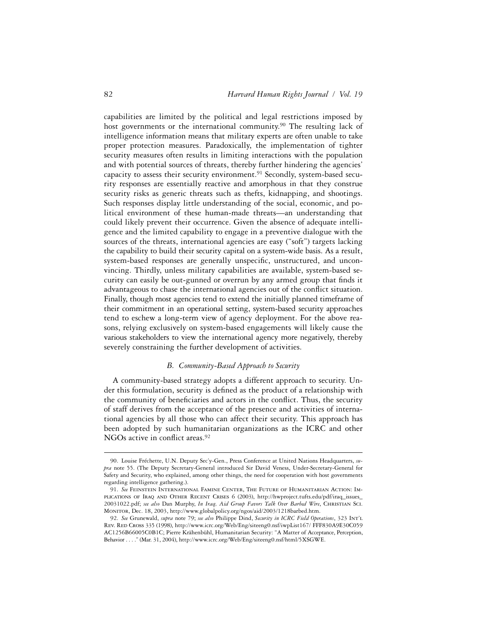capabilities are limited by the political and legal restrictions imposed by host governments or the international community.<sup>90</sup> The resulting lack of intelligence information means that military experts are often unable to take proper protection measures. Paradoxically, the implementation of tighter security measures often results in limiting interactions with the population and with potential sources of threats, thereby further hindering the agencies' capacity to assess their security environment.<sup>91</sup> Secondly, system-based security responses are essentially reactive and amorphous in that they construe security risks as generic threats such as thefts, kidnapping, and shootings. Such responses display little understanding of the social, economic, and political environment of these human-made threats—an understanding that could likely prevent their occurrence. Given the absence of adequate intelligence and the limited capability to engage in a preventive dialogue with the sources of the threats, international agencies are easy ("soft") targets lacking the capability to build their security capital on a system-wide basis. As a result, system-based responses are generally unspecific, unstructured, and unconvincing. Thirdly, unless military capabilities are available, system-based security can easily be out-gunned or overrun by any armed group that finds it advantageous to chase the international agencies out of the conflict situation. Finally, though most agencies tend to extend the initially planned timeframe of their commitment in an operational setting, system-based security approaches tend to eschew a long-term view of agency deployment. For the above reasons, relying exclusively on system-based engagements will likely cause the various stakeholders to view the international agency more negatively, thereby severely constraining the further development of activities.

# *B. Community-Based Approach to Security*

A community-based strategy adopts a different approach to security. Under this formulation, security is defined as the product of a relationship with the community of beneficiaries and actors in the conflict. Thus, the security of staff derives from the acceptance of the presence and activities of international agencies by all those who can affect their security. This approach has been adopted by such humanitarian organizations as the ICRC and other NGOs active in conflict areas.<sup>92</sup>

<sup>90.</sup> Louise Fréchette, U.N. Deputy Sec'y-Gen., Press Conference at United Nations Headquarters, *supra* note 55. (The Deputy Secretary-General introduced Sir David Veness, Under-Secretary-General for Safety and Security, who explained, among other things, the need for cooperation with host governments regarding intelligence gathering.).

<sup>91.</sup> *See* Feinstein International Famine Center, The Future of Humanitarian Action: Implications of Iraq and Other Recent Crises 6 (2003), http://hwproject.tufts.edu/pdf/iraq\_issues\_ 20031022.pdf; *see also* Dan Murphy, *In Iraq, Aid Group Favors Talk Over Barbed Wire*, Christian Sci. Monitor, Dec. 18, 2003, http://www.globalpolicy.org/ngos/aid/2003/1218barbed.htm.

<sup>92.</sup> *See* Grunewald, *supra* note 79; *see also* Philippe Dind, *Security in ICRC Field Operations*, 323 Int'l Rev. Red Cross 335 (1998), http://www.icrc.org/Web/Eng/siteeng0.nsf/iwpList167/ FFF830A9E30C059 AC1256B66005C0B1C; Pierre Krähenbühl, Humanitarian Security: "A Matter of Acceptance, Perception, Behavior . . . ." (Mar. 31, 2004), http://www.icrc.org/Web/Eng/siteeng0.nsf/html/5XSGWE.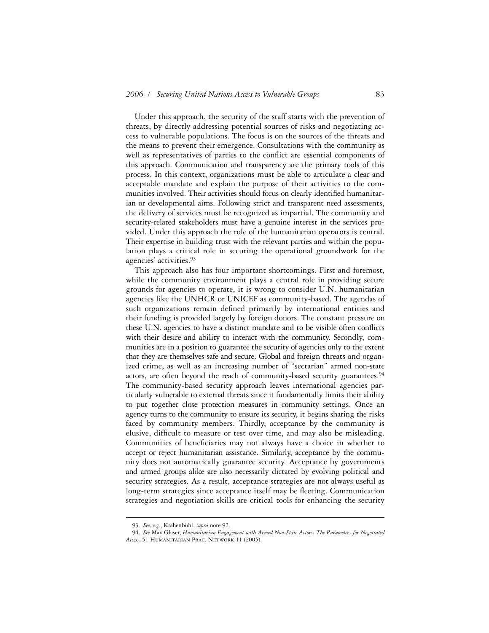Under this approach, the security of the staff starts with the prevention of threats, by directly addressing potential sources of risks and negotiating access to vulnerable populations. The focus is on the sources of the threats and the means to prevent their emergence. Consultations with the community as well as representatives of parties to the conflict are essential components of this approach. Communication and transparency are the primary tools of this process. In this context, organizations must be able to articulate a clear and acceptable mandate and explain the purpose of their activities to the communities involved. Their activities should focus on clearly identified humanitarian or developmental aims. Following strict and transparent need assessments, the delivery of services must be recognized as impartial. The community and security-related stakeholders must have a genuine interest in the services provided. Under this approach the role of the humanitarian operators is central. Their expertise in building trust with the relevant parties and within the population plays a critical role in securing the operational groundwork for the agencies' activities.93

This approach also has four important shortcomings. First and foremost, while the community environment plays a central role in providing secure grounds for agencies to operate, it is wrong to consider U.N. humanitarian agencies like the UNHCR or UNICEF as community-based. The agendas of such organizations remain defined primarily by international entities and their funding is provided largely by foreign donors. The constant pressure on these U.N. agencies to have a distinct mandate and to be visible often conflicts with their desire and ability to interact with the community. Secondly, communities are in a position to guarantee the security of agencies only to the extent that they are themselves safe and secure. Global and foreign threats and organized crime, as well as an increasing number of "sectarian" armed non-state actors, are often beyond the reach of community-based security guarantees.94 The community-based security approach leaves international agencies particularly vulnerable to external threats since it fundamentally limits their ability to put together close protection measures in community settings. Once an agency turns to the community to ensure its security, it begins sharing the risks faced by community members. Thirdly, acceptance by the community is elusive, difficult to measure or test over time, and may also be misleading. Communities of beneficiaries may not always have a choice in whether to accept or reject humanitarian assistance. Similarly, acceptance by the community does not automatically guarantee security. Acceptance by governments and armed groups alike are also necessarily dictated by evolving political and security strategies. As a result, acceptance strategies are not always useful as long-term strategies since acceptance itself may be fleeting. Communication strategies and negotiation skills are critical tools for enhancing the security

<sup>93.</sup> *See, e.g.*, Krähenbühl, *supra* note 92.

<sup>94.</sup> *See* Max Glaser, *Humanitarian Engagement with Armed Non-State Actors: The Parameters for Negotiated Access*, 51 Humanitarian Prac. Network 11 (2005).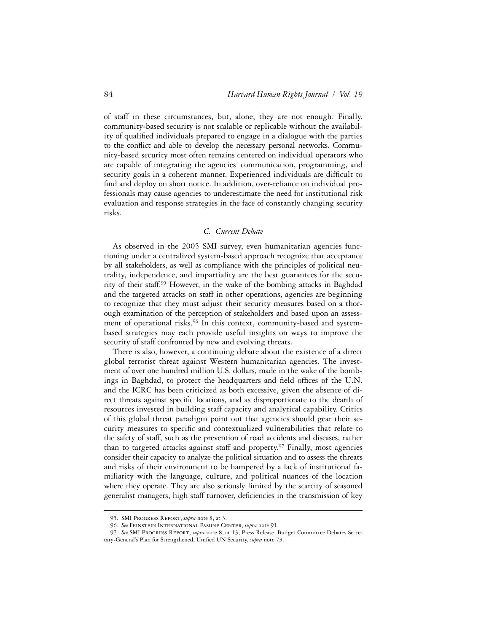of staff in these circumstances, but, alone, they are not enough. Finally, community-based security is not scalable or replicable without the availability of qualified individuals prepared to engage in a dialogue with the parties to the conflict and able to develop the necessary personal networks. Community-based security most often remains centered on individual operators who are capable of integrating the agencies' communication, programming, and security goals in a coherent manner. Experienced individuals are difficult to find and deploy on short notice. In addition, over-reliance on individual professionals may cause agencies to underestimate the need for institutional risk evaluation and response strategies in the face of constantly changing security risks.

# *C. Current Debate*

As observed in the 2005 SMI survey, even humanitarian agencies functioning under a centralized system-based approach recognize that acceptance by all stakeholders, as well as compliance with the principles of political neutrality, independence, and impartiality are the best guarantees for the security of their staff.95 However, in the wake of the bombing attacks in Baghdad and the targeted attacks on staff in other operations, agencies are beginning to recognize that they must adjust their security measures based on a thorough examination of the perception of stakeholders and based upon an assessment of operational risks.<sup>96</sup> In this context, community-based and systembased strategies may each provide useful insights on ways to improve the security of staff confronted by new and evolving threats.

There is also, however, a continuing debate about the existence of a direct global terrorist threat against Western humanitarian agencies. The investment of over one hundred million U.S. dollars, made in the wake of the bombings in Baghdad, to protect the headquarters and field offices of the U.N. and the ICRC has been criticized as both excessive, given the absence of direct threats against specific locations, and as disproportionate to the dearth of resources invested in building staff capacity and analytical capability. Critics of this global threat paradigm point out that agencies should gear their security measures to specific and contextualized vulnerabilities that relate to the safety of staff, such as the prevention of road accidents and diseases, rather than to targeted attacks against staff and property.<sup>97</sup> Finally, most agencies consider their capacity to analyze the political situation and to assess the threats and risks of their environment to be hampered by a lack of institutional familiarity with the language, culture, and political nuances of the location where they operate. They are also seriously limited by the scarcity of seasoned generalist managers, high staff turnover, deficiencies in the transmission of key

<sup>95.</sup> SMI Progress Report, *supra* note 8, at 3.

<sup>96.</sup> *See* Feinstein International Famine Center, *supra* note 91.

<sup>97.</sup> *See* SMI Progress Report, *supra* note 8, at 13; Press Release, Budget Committee Debates Secretary-General's Plan for Strengthened, Unified UN Security, *supra* note 73.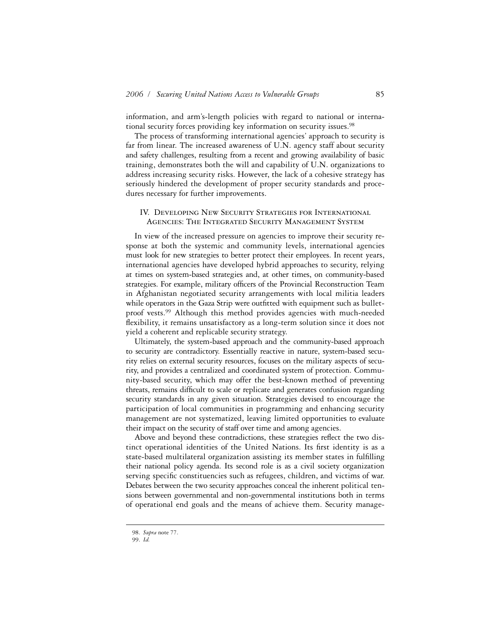information, and arm's-length policies with regard to national or international security forces providing key information on security issues.98

The process of transforming international agencies' approach to security is far from linear. The increased awareness of U.N. agency staff about security and safety challenges, resulting from a recent and growing availability of basic training, demonstrates both the will and capability of U.N. organizations to address increasing security risks. However, the lack of a cohesive strategy has seriously hindered the development of proper security standards and procedures necessary for further improvements.

# IV. Developing New Security Strategies for International Agencies: The Integrated Security Management System

In view of the increased pressure on agencies to improve their security response at both the systemic and community levels, international agencies must look for new strategies to better protect their employees. In recent years, international agencies have developed hybrid approaches to security, relying at times on system-based strategies and, at other times, on community-based strategies. For example, military officers of the Provincial Reconstruction Team in Afghanistan negotiated security arrangements with local militia leaders while operators in the Gaza Strip were outfitted with equipment such as bulletproof vests.99 Although this method provides agencies with much-needed flexibility, it remains unsatisfactory as a long-term solution since it does not yield a coherent and replicable security strategy.

Ultimately, the system-based approach and the community-based approach to security are contradictory. Essentially reactive in nature, system-based security relies on external security resources, focuses on the military aspects of security, and provides a centralized and coordinated system of protection. Community-based security, which may offer the best-known method of preventing threats, remains difficult to scale or replicate and generates confusion regarding security standards in any given situation. Strategies devised to encourage the participation of local communities in programming and enhancing security management are not systematized, leaving limited opportunities to evaluate their impact on the security of staff over time and among agencies.

Above and beyond these contradictions, these strategies reflect the two distinct operational identities of the United Nations. Its first identity is as a state-based multilateral organization assisting its member states in fulfilling their national policy agenda. Its second role is as a civil society organization serving specific constituencies such as refugees, children, and victims of war. Debates between the two security approaches conceal the inherent political tensions between governmental and non-governmental institutions both in terms of operational end goals and the means of achieve them. Security manage-

<sup>98.</sup> *Supra* note 77.

<sup>99.</sup> *Id.*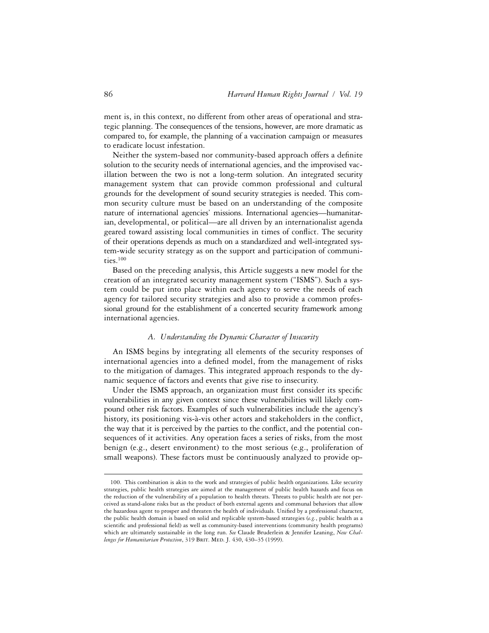ment is, in this context, no different from other areas of operational and strategic planning. The consequences of the tensions, however, are more dramatic as compared to, for example, the planning of a vaccination campaign or measures to eradicate locust infestation.

Neither the system-based nor community-based approach offers a definite solution to the security needs of international agencies, and the improvised vacillation between the two is not a long-term solution. An integrated security management system that can provide common professional and cultural grounds for the development of sound security strategies is needed. This common security culture must be based on an understanding of the composite nature of international agencies' missions. International agencies—humanitarian, developmental, or political—are all driven by an internationalist agenda geared toward assisting local communities in times of conflict. The security of their operations depends as much on a standardized and well-integrated system-wide security strategy as on the support and participation of communities.100

Based on the preceding analysis, this Article suggests a new model for the creation of an integrated security management system ("ISMS"). Such a system could be put into place within each agency to serve the needs of each agency for tailored security strategies and also to provide a common professional ground for the establishment of a concerted security framework among international agencies.

## *A. Understanding the Dynamic Character of Insecurity*

An ISMS begins by integrating all elements of the security responses of international agencies into a defined model, from the management of risks to the mitigation of damages. This integrated approach responds to the dynamic sequence of factors and events that give rise to insecurity.

Under the ISMS approach, an organization must first consider its specific vulnerabilities in any given context since these vulnerabilities will likely compound other risk factors. Examples of such vulnerabilities include the agency's history, its positioning vis-à-vis other actors and stakeholders in the conflict, the way that it is perceived by the parties to the conflict, and the potential consequences of it activities. Any operation faces a series of risks, from the most benign (e.g., desert environment) to the most serious (e.g., proliferation of small weapons). These factors must be continuously analyzed to provide op-

<sup>100.</sup> This combination is akin to the work and strategies of public health organizations. Like security strategies, public health strategies are aimed at the management of public health hazards and focus on the reduction of the vulnerability of a population to health threats. Threats to public health are not perceived as stand-alone risks but as the product of both external agents and communal behaviors that allow the hazardous agent to prosper and threaten the health of individuals. Unified by a professional character, the public health domain is based on solid and replicable system-based strategies (*e.g.*, public health as a scientific and professional field) as well as community-based interventions (community health programs) which are ultimately sustainable in the long run. *See* Claude Bruderlein & Jennifer Leaning, *New Challenges for Humanitarian Protection*, 319 Brit. Med. J. 430, 430–35 (1999).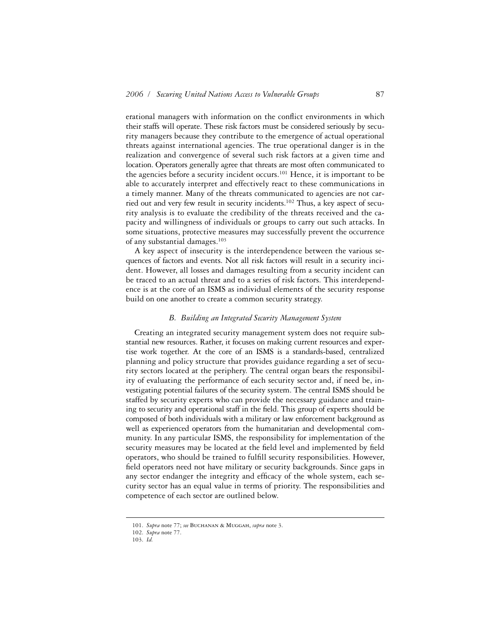erational managers with information on the conflict environments in which their staffs will operate. These risk factors must be considered seriously by security managers because they contribute to the emergence of actual operational threats against international agencies. The true operational danger is in the realization and convergence of several such risk factors at a given time and location. Operators generally agree that threats are most often communicated to the agencies before a security incident occurs.<sup>101</sup> Hence, it is important to be able to accurately interpret and effectively react to these communications in a timely manner. Many of the threats communicated to agencies are not carried out and very few result in security incidents.102 Thus, a key aspect of security analysis is to evaluate the credibility of the threats received and the capacity and willingness of individuals or groups to carry out such attacks. In some situations, protective measures may successfully prevent the occurrence of any substantial damages.103

A key aspect of insecurity is the interdependence between the various sequences of factors and events. Not all risk factors will result in a security incident. However, all losses and damages resulting from a security incident can be traced to an actual threat and to a series of risk factors. This interdependence is at the core of an ISMS as individual elements of the security response build on one another to create a common security strategy.

## *B. Building an Integrated Security Management System*

Creating an integrated security management system does not require substantial new resources. Rather, it focuses on making current resources and expertise work together. At the core of an ISMS is a standards-based, centralized planning and policy structure that provides guidance regarding a set of security sectors located at the periphery. The central organ bears the responsibility of evaluating the performance of each security sector and, if need be, investigating potential failures of the security system. The central ISMS should be staffed by security experts who can provide the necessary guidance and training to security and operational staff in the field. This group of experts should be composed of both individuals with a military or law enforcement background as well as experienced operators from the humanitarian and developmental community. In any particular ISMS, the responsibility for implementation of the security measures may be located at the field level and implemented by field operators, who should be trained to fulfill security responsibilities. However, field operators need not have military or security backgrounds. Since gaps in any sector endanger the integrity and efficacy of the whole system, each security sector has an equal value in terms of priority. The responsibilities and competence of each sector are outlined below.

<sup>101.</sup> *Supra* note 77; *see* Buchanan & Muggah, *supra* note 3.

<sup>102.</sup> *Supra* note 77.

<sup>103.</sup> *Id.*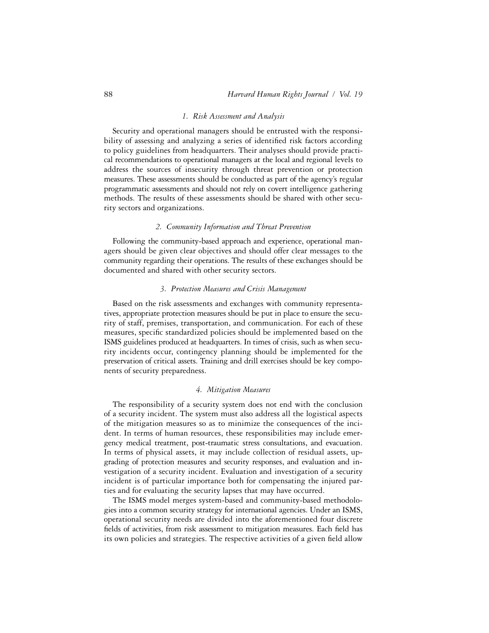#### *1. Risk Assessment and Analysis*

Security and operational managers should be entrusted with the responsibility of assessing and analyzing a series of identified risk factors according to policy guidelines from headquarters. Their analyses should provide practical recommendations to operational managers at the local and regional levels to address the sources of insecurity through threat prevention or protection measures. These assessments should be conducted as part of the agency's regular programmatic assessments and should not rely on covert intelligence gathering methods. The results of these assessments should be shared with other security sectors and organizations.

# *2. Community Information and Threat Prevention*

Following the community-based approach and experience, operational managers should be given clear objectives and should offer clear messages to the community regarding their operations. The results of these exchanges should be documented and shared with other security sectors.

# *3. Protection Measures and Crisis Management*

Based on the risk assessments and exchanges with community representatives, appropriate protection measures should be put in place to ensure the security of staff, premises, transportation, and communication. For each of these measures, specific standardized policies should be implemented based on the ISMS guidelines produced at headquarters. In times of crisis, such as when security incidents occur, contingency planning should be implemented for the preservation of critical assets. Training and drill exercises should be key components of security preparedness.

# *4. Mitigation Measures*

The responsibility of a security system does not end with the conclusion of a security incident. The system must also address all the logistical aspects of the mitigation measures so as to minimize the consequences of the incident. In terms of human resources, these responsibilities may include emergency medical treatment, post-traumatic stress consultations, and evacuation. In terms of physical assets, it may include collection of residual assets, upgrading of protection measures and security responses, and evaluation and investigation of a security incident. Evaluation and investigation of a security incident is of particular importance both for compensating the injured parties and for evaluating the security lapses that may have occurred.

The ISMS model merges system-based and community-based methodologies into a common security strategy for international agencies. Under an ISMS, operational security needs are divided into the aforementioned four discrete fields of activities, from risk assessment to mitigation measures. Each field has its own policies and strategies. The respective activities of a given field allow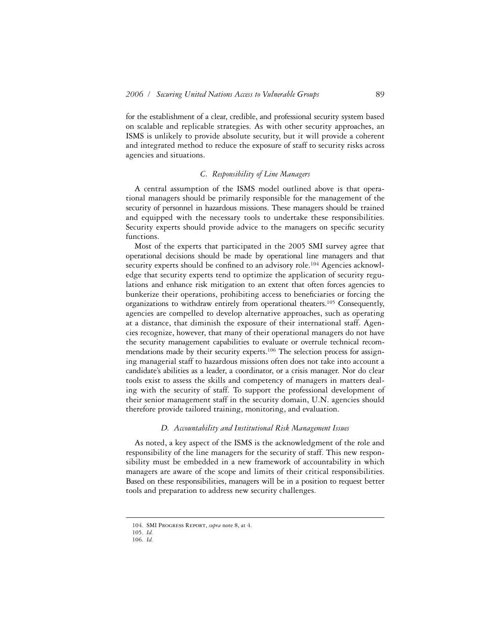for the establishment of a clear, credible, and professional security system based on scalable and replicable strategies. As with other security approaches, an ISMS is unlikely to provide absolute security, but it will provide a coherent and integrated method to reduce the exposure of staff to security risks across agencies and situations.

# *C. Responsibility of Line Managers*

A central assumption of the ISMS model outlined above is that operational managers should be primarily responsible for the management of the security of personnel in hazardous missions. These managers should be trained and equipped with the necessary tools to undertake these responsibilities. Security experts should provide advice to the managers on specific security functions.

Most of the experts that participated in the 2005 SMI survey agree that operational decisions should be made by operational line managers and that security experts should be confined to an advisory role.<sup>104</sup> Agencies acknowledge that security experts tend to optimize the application of security regulations and enhance risk mitigation to an extent that often forces agencies to bunkerize their operations, prohibiting access to beneficiaries or forcing the organizations to withdraw entirely from operational theaters.105 Consequently, agencies are compelled to develop alternative approaches, such as operating at a distance, that diminish the exposure of their international staff. Agencies recognize, however, that many of their operational managers do not have the security management capabilities to evaluate or overrule technical recommendations made by their security experts.106 The selection process for assigning managerial staff to hazardous missions often does not take into account a candidate's abilities as a leader, a coordinator, or a crisis manager. Nor do clear tools exist to assess the skills and competency of managers in matters dealing with the security of staff. To support the professional development of their senior management staff in the security domain, U.N. agencies should therefore provide tailored training, monitoring, and evaluation.

## *D. Accountability and Institutional Risk Management Issues*

As noted, a key aspect of the ISMS is the acknowledgment of the role and responsibility of the line managers for the security of staff. This new responsibility must be embedded in a new framework of accountability in which managers are aware of the scope and limits of their critical responsibilities. Based on these responsibilities, managers will be in a position to request better tools and preparation to address new security challenges.

<sup>104.</sup> SMI Progress Report, *supra* note 8, at 4.

<sup>105.</sup> *Id.*

<sup>106.</sup> *Id.*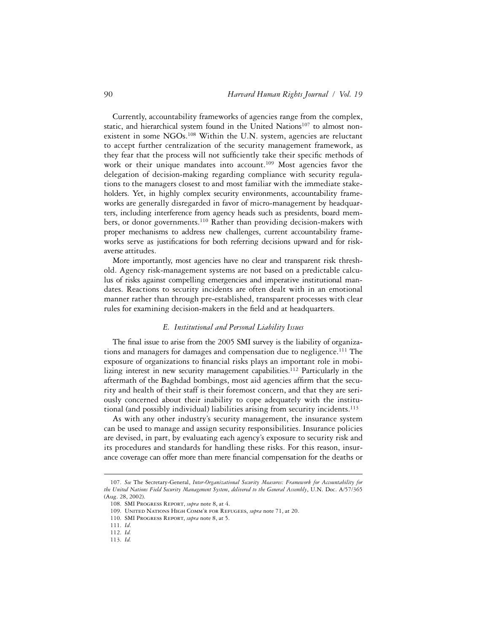Currently, accountability frameworks of agencies range from the complex, static, and hierarchical system found in the United Nations<sup>107</sup> to almost nonexistent in some NGOs.<sup>108</sup> Within the U.N. system, agencies are reluctant to accept further centralization of the security management framework, as they fear that the process will not sufficiently take their specific methods of work or their unique mandates into account.<sup>109</sup> Most agencies favor the delegation of decision-making regarding compliance with security regulations to the managers closest to and most familiar with the immediate stakeholders. Yet, in highly complex security environments, accountability frameworks are generally disregarded in favor of micro-management by headquarters, including interference from agency heads such as presidents, board members, or donor governments.110 Rather than providing decision-makers with proper mechanisms to address new challenges, current accountability frameworks serve as justifications for both referring decisions upward and for riskaverse attitudes.

More importantly, most agencies have no clear and transparent risk threshold. Agency risk-management systems are not based on a predictable calculus of risks against compelling emergencies and imperative institutional mandates. Reactions to security incidents are often dealt with in an emotional manner rather than through pre-established, transparent processes with clear rules for examining decision-makers in the field and at headquarters.

## *E. Institutional and Personal Liability Issues*

The final issue to arise from the 2005 SMI survey is the liability of organizations and managers for damages and compensation due to negligence.<sup>111</sup> The exposure of organizations to financial risks plays an important role in mobilizing interest in new security management capabilities.<sup>112</sup> Particularly in the aftermath of the Baghdad bombings, most aid agencies affirm that the security and health of their staff is their foremost concern, and that they are seriously concerned about their inability to cope adequately with the institutional (and possibly individual) liabilities arising from security incidents.<sup>113</sup>

As with any other industry's security management, the insurance system can be used to manage and assign security responsibilities. Insurance policies are devised, in part, by evaluating each agency's exposure to security risk and its procedures and standards for handling these risks. For this reason, insurance coverage can offer more than mere financial compensation for the deaths or

<sup>107.</sup> *See* The Secretary-General, *Inter-Organizational Security Measures: Framework for Accountability for the United Nations Field Security Management System*, *delivered to the General Assembly*, U.N. Doc. A/57/365 (Aug. 28, 2002).

<sup>108.</sup> SMI Progress Report, *supra* note 8, at 4.

<sup>109.</sup> United Nations High Comm'r for Refugees, *supra* note 71, at 20.

<sup>110.</sup> SMI Progress Report, *supra* note 8, at 5.

<sup>111.</sup> *Id*.

<sup>112.</sup> *Id.*

<sup>113.</sup> *Id.*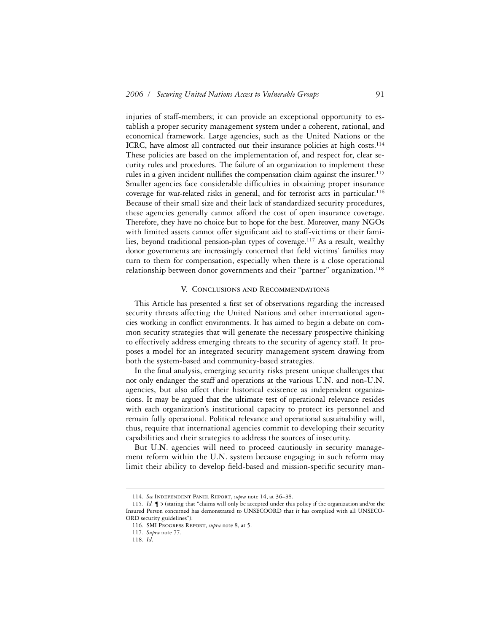injuries of staff-members; it can provide an exceptional opportunity to establish a proper security management system under a coherent, rational, and economical framework. Large agencies, such as the United Nations or the ICRC, have almost all contracted out their insurance policies at high costs.<sup>114</sup> These policies are based on the implementation of, and respect for, clear security rules and procedures. The failure of an organization to implement these rules in a given incident nullifies the compensation claim against the insurer.<sup>115</sup> Smaller agencies face considerable difficulties in obtaining proper insurance coverage for war-related risks in general, and for terrorist acts in particular.<sup>116</sup> Because of their small size and their lack of standardized security procedures, these agencies generally cannot afford the cost of open insurance coverage. Therefore, they have no choice but to hope for the best. Moreover, many NGOs with limited assets cannot offer significant aid to staff-victims or their families, beyond traditional pension-plan types of coverage.117 As a result, wealthy donor governments are increasingly concerned that field victims' families may turn to them for compensation, especially when there is a close operational relationship between donor governments and their "partner" organization.118

### V. Conclusions and Recommendations

This Article has presented a first set of observations regarding the increased security threats affecting the United Nations and other international agencies working in conflict environments. It has aimed to begin a debate on common security strategies that will generate the necessary prospective thinking to effectively address emerging threats to the security of agency staff. It proposes a model for an integrated security management system drawing from both the system-based and community-based strategies.

In the final analysis, emerging security risks present unique challenges that not only endanger the staff and operations at the various U.N. and non-U.N. agencies, but also affect their historical existence as independent organizations. It may be argued that the ultimate test of operational relevance resides with each organization's institutional capacity to protect its personnel and remain fully operational. Political relevance and operational sustainability will, thus, require that international agencies commit to developing their security capabilities and their strategies to address the sources of insecurity.

But U.N. agencies will need to proceed cautiously in security management reform within the U.N. system because engaging in such reform may limit their ability to develop field-based and mission-specific security man-

<sup>114.</sup> *See* Independent Panel Report, *supra* note 14, at 36–38.

<sup>115</sup>*. Id.* ¶ 5 (stating that "claims will only be accepted under this policy if the organization and/or the Insured Person concerned has demonstrated to UNSECOORD that it has complied with all UNSECO-ORD security guidelines").

<sup>116.</sup> SMI Progress Report, *supra* note 8, at 5.

<sup>117.</sup> *Supra* note 77.

<sup>118.</sup> *Id*.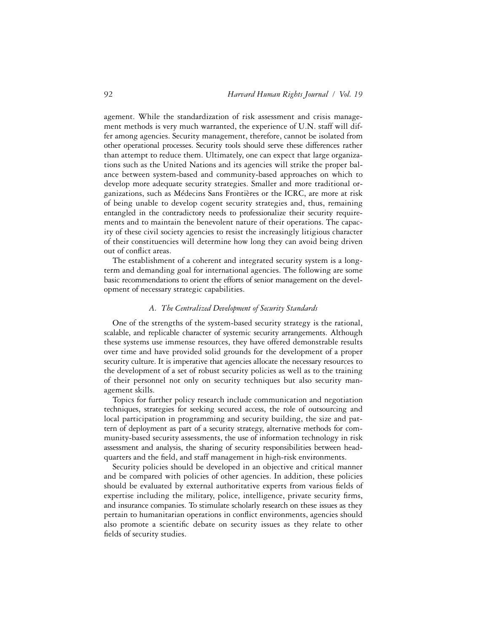agement. While the standardization of risk assessment and crisis management methods is very much warranted, the experience of U.N. staff will differ among agencies. Security management, therefore, cannot be isolated from other operational processes. Security tools should serve these differences rather than attempt to reduce them. Ultimately, one can expect that large organizations such as the United Nations and its agencies will strike the proper balance between system-based and community-based approaches on which to develop more adequate security strategies. Smaller and more traditional organizations, such as Médecins Sans Frontières or the ICRC, are more at risk of being unable to develop cogent security strategies and, thus, remaining entangled in the contradictory needs to professionalize their security requirements and to maintain the benevolent nature of their operations. The capacity of these civil society agencies to resist the increasingly litigious character of their constituencies will determine how long they can avoid being driven out of conflict areas.

The establishment of a coherent and integrated security system is a longterm and demanding goal for international agencies. The following are some basic recommendations to orient the efforts of senior management on the development of necessary strategic capabilities.

# *A. The Centralized Development of Security Standards*

One of the strengths of the system-based security strategy is the rational, scalable, and replicable character of systemic security arrangements. Although these systems use immense resources, they have offered demonstrable results over time and have provided solid grounds for the development of a proper security culture. It is imperative that agencies allocate the necessary resources to the development of a set of robust security policies as well as to the training of their personnel not only on security techniques but also security management skills.

Topics for further policy research include communication and negotiation techniques, strategies for seeking secured access, the role of outsourcing and local participation in programming and security building, the size and pattern of deployment as part of a security strategy, alternative methods for community-based security assessments, the use of information technology in risk assessment and analysis, the sharing of security responsibilities between headquarters and the field, and staff management in high-risk environments.

Security policies should be developed in an objective and critical manner and be compared with policies of other agencies. In addition, these policies should be evaluated by external authoritative experts from various fields of expertise including the military, police, intelligence, private security firms, and insurance companies. To stimulate scholarly research on these issues as they pertain to humanitarian operations in conflict environments, agencies should also promote a scientific debate on security issues as they relate to other fields of security studies.